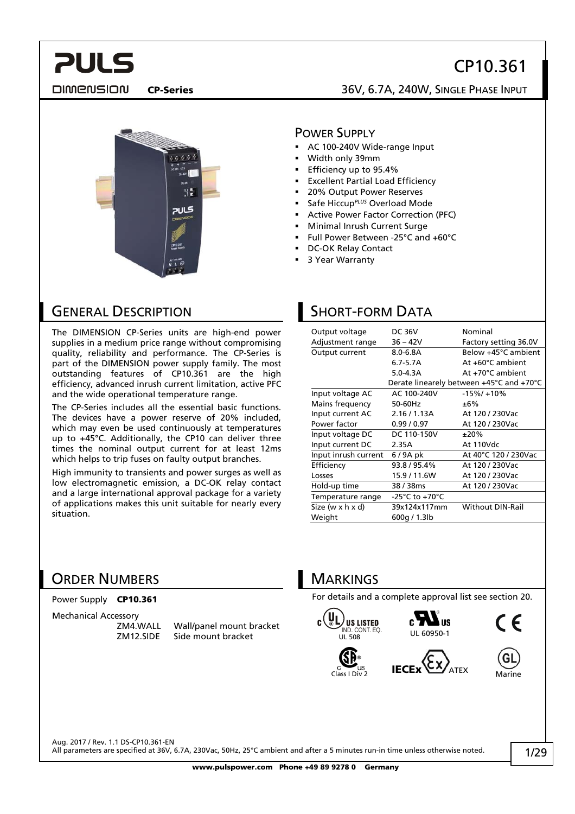## CP10.361

**DIMENSION** 

**PULS** 

### CP-Series 36V, 6.7A, 240W, SINGLE PHASE INPUT



#### POWER SUPPLY

- AC 100-240V Wide-range Input
- Width only 39mm
- Efficiency up to 95.4%
- Excellent Partial Load Efficiency
- 20% Output Power Reserves
- Safe Hiccup*PLUS* Overload Mode
- Active Power Factor Correction (PFC)
- Minimal Inrush Current Surge
- Full Power Between -25°C and +60°C
- DC-OK Relay Contact
- 3 Year Warranty

### GENERAL DESCRIPTION

The DIMENSION CP-Series units are high-end power supplies in a medium price range without compromising quality, reliability and performance. The CP-Series is part of the DIMENSION power supply family. The most outstanding features of CP10.361 are the high efficiency, advanced inrush current limitation, active PFC and the wide operational temperature range.

The CP-Series includes all the essential basic functions. The devices have a power reserve of 20% included, which may even be used continuously at temperatures up to +45°C. Additionally, the CP10 can deliver three times the nominal output current for at least 12ms which helps to trip fuses on faulty output branches.

High immunity to transients and power surges as well as low electromagnetic emission, a DC-OK relay contact and a large international approval package for a variety of applications makes this unit suitable for nearly every situation.

## SHORT-FORM DATA

| Output voltage       | <b>DC 36V</b>  | Nominal                                  |  |
|----------------------|----------------|------------------------------------------|--|
| Adjustment range     | $36 - 42V$     | Factory setting 36.0V                    |  |
| Output current       | $8.0 - 6.8$ A  | Below +45°C ambient                      |  |
|                      | 6.7-5.7A       | At +60°C ambient                         |  |
|                      | $5.0 - 4.3A$   | $At +70^{\circ}$ C ambient               |  |
|                      |                | Derate linearely between +45°C and +70°C |  |
| Input voltage AC     | AC 100-240V    | $-15\%/+10\%$                            |  |
| Mains frequency      | 50-60Hz        | ±6%                                      |  |
| Input current AC     | 2.16 / 1.13A   | At 120 / 230Vac                          |  |
| Power factor         | 0.99/0.97      | At 120 / 230Vac                          |  |
| Input voltage DC     | DC 110-150V    | ±20%                                     |  |
| Input current DC     | 2.35A          | At 110Vdc                                |  |
| Input inrush current | 6/9A pk        | At 40°C 120 / 230Vac                     |  |
| Efficiency           | 93.8 / 95.4%   | At 120 / 230Vac                          |  |
| Losses               | 15.9 / 11.6W   | At 120 / 230Vac                          |  |
| Hold-up time         | 38 / 38ms      | At 120 / 230 Vac                         |  |
| Temperature range    | -25°C to +70°C |                                          |  |
| Size (w x h x d)     | 39x124x117mm   | <b>Without DIN-Rail</b>                  |  |
| Weight               | 600g / 1.3lb   |                                          |  |
|                      |                |                                          |  |

### ORDER NUMBERS

#### Power Supply CP10.361

Mechanical Accessory<br>ZM4.WALL

ZM4.WALL Wall/panel mount bracket Side mount bracket

### **MARKINGS**

For details and a complete approval list see section [20.](#page-18-0)











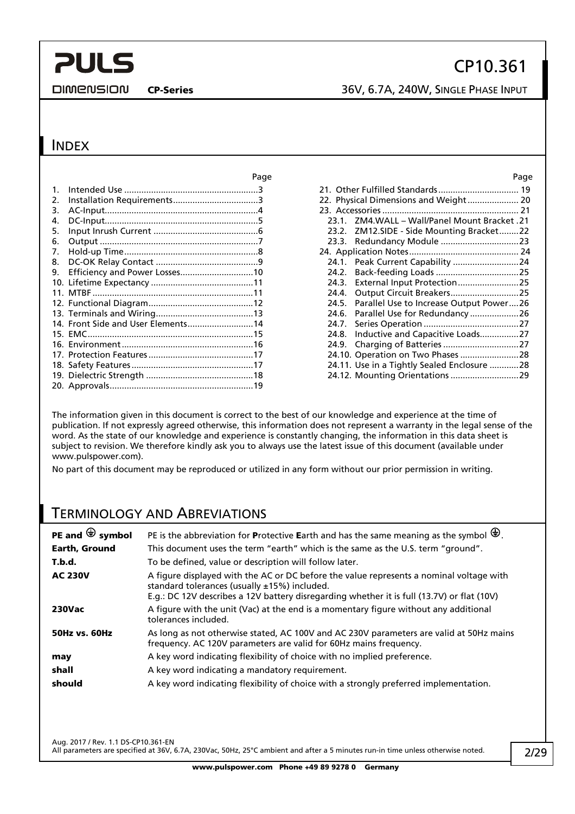**DIMENSION** 

CP-Series 36V, 6.7A, 240W, SINGLE PHASE INPUT

### **INDEX**

|    |                                    | Page | Page                                          |
|----|------------------------------------|------|-----------------------------------------------|
|    |                                    |      |                                               |
| 2. |                                    |      | 22. Physical Dimensions and Weight 20         |
| 3. |                                    |      |                                               |
| 4. |                                    |      | 23.1. ZM4.WALL - Wall/Panel Mount Bracket .21 |
| 5. |                                    |      | 23.2. ZM12.SIDE - Side Mounting Bracket22     |
| 6. |                                    |      |                                               |
| 7. |                                    |      |                                               |
| 8. |                                    |      | 24.1. Peak Current Capability 24              |
| 9. | Efficiency and Power Losses10      |      |                                               |
|    |                                    |      | 24.3. External Input Protection25             |
|    |                                    |      | 24.4. Output Circuit Breakers25               |
|    |                                    |      | 24.5. Parallel Use to Increase Output Power26 |
|    |                                    |      |                                               |
|    | 14. Front Side and User Elements14 |      | 24.7.                                         |
|    |                                    |      | Inductive and Capacitive Loads27<br>24.8.     |
|    |                                    |      |                                               |
|    |                                    |      |                                               |
|    |                                    |      | 24.11. Use in a Tightly Sealed Enclosure 28   |
|    |                                    |      | 24.12. Mounting Orientations 29               |
|    |                                    |      |                                               |

|       | 21. Other Fulfilled Standards 19              |  |
|-------|-----------------------------------------------|--|
|       | 22. Physical Dimensions and Weight 20         |  |
|       |                                               |  |
|       | 23.1. ZM4.WALL - Wall/Panel Mount Bracket .21 |  |
|       | 23.2. ZM12.SIDE - Side Mounting Bracket22     |  |
|       |                                               |  |
|       |                                               |  |
| 24.1. | Peak Current Capability 24                    |  |
| 24.2. |                                               |  |
| 24.3. | External Input Protection25                   |  |
| 24.4. | Output Circuit Breakers25                     |  |
| 24.5. | Parallel Use to Increase Output Power26       |  |
| 24.6. | Parallel Use for Redundancy 26                |  |
| 24.7. |                                               |  |
| 24.8. | Inductive and Capacitive Loads27              |  |
| 24.9. |                                               |  |
|       | 24.10. Operation on Two Phases  28            |  |
|       | 24.11. Use in a Tightly Sealed Enclosure 28   |  |
|       | 24.12. Mounting Orientations  29              |  |
|       |                                               |  |

The information given in this document is correct to the best of our knowledge and experience at the time of publication. If not expressly agreed otherwise, this information does not represent a warranty in the legal sense of the word. As the state of our knowledge and experience is constantly changing, the information in this data sheet is subject to revision. We therefore kindly ask you to always use the latest issue of this document (available under www.pulspower.com).

No part of this document may be reproduced or utilized in any form without our prior permission in writing.

## TERMINOLOGY AND ABREVIATIONS

| PE and $\bigoplus$ symbol | PE is the abbreviation for Protective Earth and has the same meaning as the symbol $\bigoplus$ .                                                                                                                                         |
|---------------------------|------------------------------------------------------------------------------------------------------------------------------------------------------------------------------------------------------------------------------------------|
| <b>Earth, Ground</b>      | This document uses the term "earth" which is the same as the U.S. term "ground".                                                                                                                                                         |
| T.b.d.                    | To be defined, value or description will follow later.                                                                                                                                                                                   |
| <b>AC 230V</b>            | A figure displayed with the AC or DC before the value represents a nominal voltage with<br>standard tolerances (usually $±15%$ ) included.<br>E.g.: DC 12V describes a 12V battery disregarding whether it is full (13.7V) or flat (10V) |
| <b>230Vac</b>             | A figure with the unit (Vac) at the end is a momentary figure without any additional<br>tolerances included.                                                                                                                             |
| <b>50Hz vs. 60Hz</b>      | As long as not otherwise stated, AC 100V and AC 230V parameters are valid at 50Hz mains<br>frequency. AC 120V parameters are valid for 60Hz mains frequency.                                                                             |
| may                       | A key word indicating flexibility of choice with no implied preference.                                                                                                                                                                  |
| shall                     | A key word indicating a mandatory requirement.                                                                                                                                                                                           |
| should                    | A key word indicating flexibility of choice with a strongly preferred implementation.                                                                                                                                                    |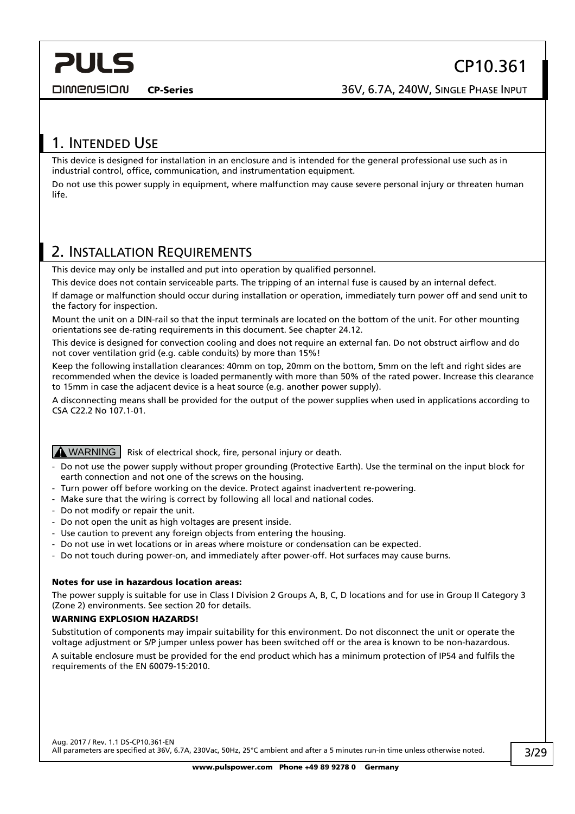<span id="page-2-0"></span>**DIMENSION** 

## 1. INTENDED USE

This device is designed for installation in an enclosure and is intended for the general professional use such as in industrial control, office, communication, and instrumentation equipment.

Do not use this power supply in equipment, where malfunction may cause severe personal injury or threaten human life.

## <span id="page-2-1"></span>2. INSTALLATION REQUIREMENTS

This device may only be installed and put into operation by qualified personnel.

This device does not contain serviceable parts. The tripping of an internal fuse is caused by an internal defect.

If damage or malfunction should occur during installation or operation, immediately turn power off and send unit to the factory for inspection.

Mount the unit on a DIN-rail so that the input terminals are located on the bottom of the unit. For other mounting orientations see de-rating requirements in this document. See chapter [24.12.](#page-28-1)

This device is designed for convection cooling and does not require an external fan. Do not obstruct airflow and do not cover ventilation grid (e.g. cable conduits) by more than 15%!

Keep the following installation clearances: 40mm on top, 20mm on the bottom, 5mm on the left and right sides are recommended when the device is loaded permanently with more than 50% of the rated power. Increase this clearance to 15mm in case the adjacent device is a heat source (e.g. another power supply).

A disconnecting means shall be provided for the output of the power supplies when used in applications according to CSA C22.2 No 107.1-01.

**A WARNING** Risk of electrical shock, fire, personal injury or death.

- Do not use the power supply without proper grounding (Protective Earth). Use the terminal on the input block for earth connection and not one of the screws on the housing.
- Turn power off before working on the device. Protect against inadvertent re-powering.
- Make sure that the wiring is correct by following all local and national codes.
- Do not modify or repair the unit.
- Do not open the unit as high voltages are present inside.
- Use caution to prevent any foreign objects from entering the housing.
- Do not use in wet locations or in areas where moisture or condensation can be expected.
- Do not touch during power-on, and immediately after power-off. Hot surfaces may cause burns.

#### Notes for use in hazardous location areas:

The power supply is suitable for use in Class I Division 2 Groups A, B, C, D locations and for use in Group II Category 3 (Zone 2) environments. See section [20](#page-18-0) for details.

#### WARNING FXPI OSION HAZARDS!

Substitution of components may impair suitability for this environment. Do not disconnect the unit or operate the voltage adjustment or S/P jumper unless power has been switched off or the area is known to be non-hazardous.

A suitable enclosure must be provided for the end product which has a minimum protection of IP54 and fulfils the requirements of the EN 60079-15:2010.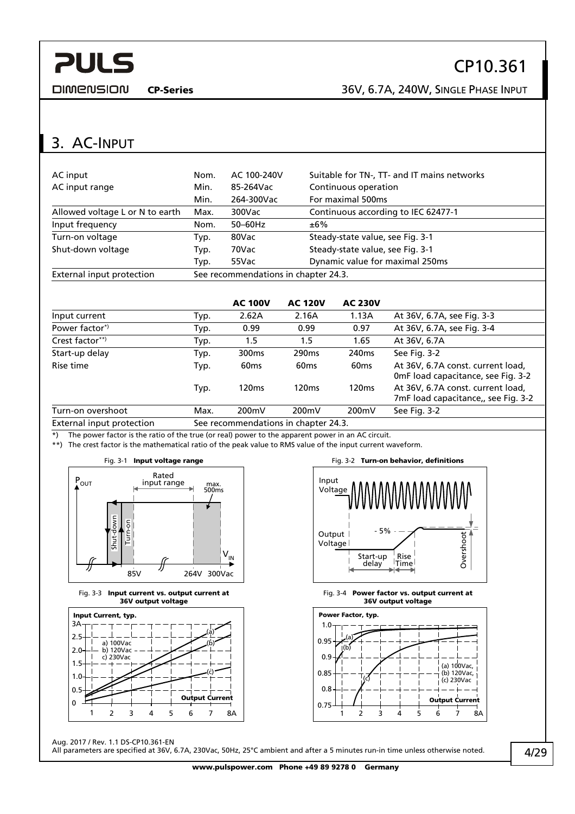<span id="page-3-0"></span>**DIMENSION** 

CP-Series 36V, 6.7A, 240W, SINGLE PHASE INPUT

## 3. AC-INPUT

| AC input                        | Nom.                                 | AC 100-240V | Suitable for TN-, TT- and IT mains networks |  |
|---------------------------------|--------------------------------------|-------------|---------------------------------------------|--|
| AC input range                  | Min.                                 | 85-264Vac   | Continuous operation                        |  |
|                                 | Min.                                 | 264-300Vac  | For maximal 500ms                           |  |
| Allowed voltage L or N to earth | Max.                                 | 300Vac      | Continuous according to IEC 62477-1         |  |
| Input frequency                 | Nom.                                 | $50-60$ Hz  | ±6%                                         |  |
| Turn-on voltage                 | Typ.                                 | 80Vac       | Steady-state value, see Fig. 3-1            |  |
| Shut-down voltage               | Typ.                                 | 70Vac       | Steady-state value, see Fig. 3-1            |  |
|                                 | Typ.                                 | 55Vac       | Dynamic value for maximal 250ms             |  |
| External input protection       | See recommendations in chapter 24.3. |             |                                             |  |

|                           |      | <b>AC 100V</b>                      | <b>AC 120V</b>    | <b>AC 230V</b>    |                                                                          |
|---------------------------|------|-------------------------------------|-------------------|-------------------|--------------------------------------------------------------------------|
| Input current             | Typ. | 2.62A                               | 2.16A             | 1.13A             | At 36V, 6.7A, see Fig. 3-3                                               |
| Power factor <sup>*</sup> | Typ. | 0.99                                | 0.99              | 0.97              | At 36V, 6.7A, see Fig. 3-4                                               |
| Crest factor**)           | Typ. | 1.5                                 | 1.5               | 1.65              | At 36V, 6.7A                                                             |
| Start-up delay            | Typ. | 300 <sub>ms</sub>                   | 290 <sub>ms</sub> | 240 <sub>ms</sub> | See Fig. 3-2                                                             |
| Rise time                 | Typ. | 60 <sub>ms</sub>                    | 60 <sub>ms</sub>  | 60 <sub>ms</sub>  | At 36V, 6.7A const. current load,<br>OmF load capacitance, see Fig. 3-2  |
|                           | Typ. | 120 <sub>ms</sub>                   | 120 <sub>ms</sub> | 120 <sub>ms</sub> | At 36V, 6.7A const. current load,<br>7mF load capacitance,, see Fig. 3-2 |
| Turn-on overshoot         | Max. | 200 <sub>m</sub> V                  | 200mV             | 200mV             | See Fig. 3-2                                                             |
| Evternal innut protection |      | Con recommendations in chapter 24.2 |                   |                   |                                                                          |

External input protection See recommendations in chapter [24.3](#page-24-1).

\*) The power factor is the ratio of the true (or real) power to the apparent power in an AC circuit.

<span id="page-3-1"></span>\*\*) The crest factor is the mathematical ratio of the peak value to RMS value of the input current waveform.



Fig. 3-3 Input current vs. output current at 36V output voltage

<span id="page-3-2"></span>

Aug. 2017 / Rev. 1.1 DS-CP10.361-EN

Fig. 3-1 Input voltage range The Research Control of Fig. 3-2 Turn-on behavior, definitions







All parameters are specified at 36V, 6.7A, 230Vac, 50Hz, 25°C ambient and after a 5 minutes run-in time unless otherwise noted.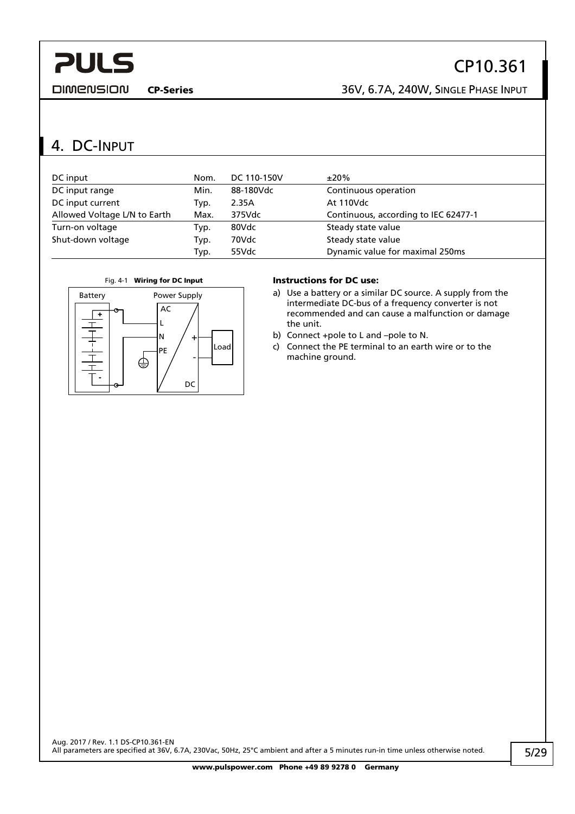<span id="page-4-0"></span>**DIMENSION** 

## CP10.361

CP-Series 36V, 6.7A, 240W, SINGLE PHASE INPUT

## 4. DC-INPUT

| DC input                     | Nom. | DC 110-150V | $±20\%$                              |
|------------------------------|------|-------------|--------------------------------------|
| DC input range               | Min. | 88-180Vdc   | Continuous operation                 |
| DC input current             | Typ. | 2.35A       | At 110Vdc                            |
| Allowed Voltage L/N to Earth | Max. | 375Vdc      | Continuous, according to IEC 62477-1 |
| Turn-on voltage              | Typ. | 80Vdc       | Steady state value                   |
| Shut-down voltage            | Typ. | 70Vdc       | Steady state value                   |
|                              | Typ. | 55Vdc       | Dynamic value for maximal 250ms      |



- a) Use a battery or a similar DC source. A supply from the intermediate DC-bus of a frequency converter is not recommended and can cause a malfunction or damage the unit.
- b) Connect +pole to L and –pole to N.
- c) Connect the PE terminal to an earth wire or to the machine ground.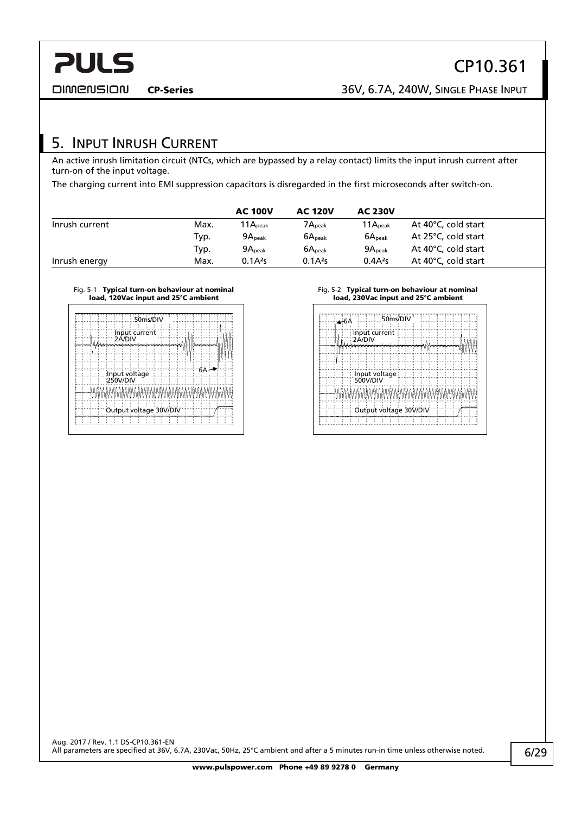CP10.361

<span id="page-5-0"></span>**DIMENSION** 

## 5. INPUT INRUSH CURRENT

An active inrush limitation circuit (NTCs, which are bypassed by a relay contact) limits the input inrush current after turn-on of the input voltage.

The charging current into EMI suppression capacitors is disregarded in the first microseconds after switch-on.

|                |      | <b>AC 100V</b>     | <b>AC 120V</b>     | <b>AC 230V</b>      |                     |
|----------------|------|--------------------|--------------------|---------------------|---------------------|
| Inrush current | Max. | $11A_{peak}$       | $7A_{\rm peak}$    | 11A <sub>peak</sub> | At 40°C, cold start |
|                | Typ. | 9A <sub>peak</sub> | $6A_{\text{peak}}$ | 6A <sub>peak</sub>  | At 25°C, cold start |
|                | Typ. | 9A <sub>peak</sub> | 6A <sub>peak</sub> | 9A <sub>peak</sub>  | At 40°C, cold start |
| Inrush energy  | Max. | $0.1A^{2}s$        | $0.1A^2s$          | $0.4A^2s$           | At 40°C, cold start |

#### Fig. 5-1 Typical turn-on behaviour at nominal load, 120Vac input and 25°C ambient

| $1.50$ ms/DIV<br>Input current | 50ms/DIV<br>Input current   |
|--------------------------------|-----------------------------|
| 2A/DIV                         | 2A/DIV                      |
| Input voltage<br>250V/DIV      | Input voltage<br>  500V/DIV |
|                                |                             |
| Output voltage 30V/DIV         | Output voltage 30V/DIV      |
|                                |                             |

#### Fig. 5-2 Typical turn-on behaviour at nominal load, 230Vac input and 25°C ambient

| Input current<br>2Á/DIV |                        |  |  |  |  |
|-------------------------|------------------------|--|--|--|--|
|                         |                        |  |  |  |  |
|                         |                        |  |  |  |  |
| 500V/DIV                | Input voltage          |  |  |  |  |
|                         |                        |  |  |  |  |
|                         | Output voltage 30V/DIV |  |  |  |  |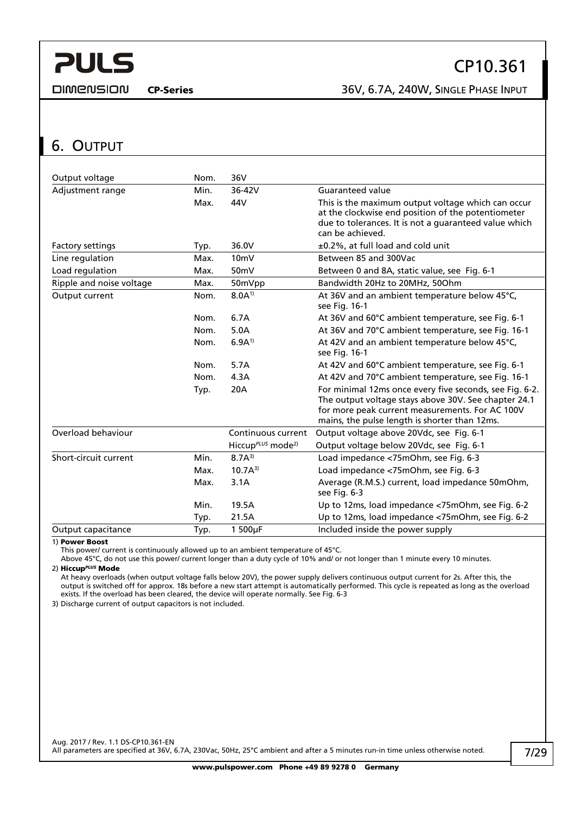<span id="page-6-0"></span>**DIMENSION** 

CP-Series 36V, 6.7A, 240W, SINGLE PHASE INPUT

## <span id="page-6-1"></span>6. OUTPUT

| Output voltage           | Nom. | 36V                                                    |                                                                                                                                                                                                                     |
|--------------------------|------|--------------------------------------------------------|---------------------------------------------------------------------------------------------------------------------------------------------------------------------------------------------------------------------|
| Adjustment range         | Min. | 36-42V                                                 | <b>Guaranteed value</b>                                                                                                                                                                                             |
|                          | Max. | 44V                                                    | This is the maximum output voltage which can occur<br>at the clockwise end position of the potentiometer<br>due to tolerances. It is not a guaranteed value which<br>can be achieved.                               |
| <b>Factory settings</b>  | Typ. | 36.0V                                                  | ±0.2%, at full load and cold unit                                                                                                                                                                                   |
| Line regulation          | Max. | 10 <sub>m</sub>                                        | Between 85 and 300Vac                                                                                                                                                                                               |
| Load regulation          | Max. | 50 <sub>m</sub> V                                      | Between 0 and 8A, static value, see Fig. 6-1                                                                                                                                                                        |
| Ripple and noise voltage | Max. | 50mVpp                                                 | Bandwidth 20Hz to 20MHz, 50Ohm                                                                                                                                                                                      |
| Output current           | Nom. | $8.0A^{1}$                                             | At 36V and an ambient temperature below 45°C,<br>see Fig. 16-1                                                                                                                                                      |
|                          | Nom. | 6.7A                                                   | At 36V and 60°C ambient temperature, see Fig. 6-1                                                                                                                                                                   |
|                          | Nom. | 5.0A                                                   | At 36V and 70°C ambient temperature, see Fig. 16-1                                                                                                                                                                  |
|                          | Nom. | $6.9A^{1}$                                             | At 42V and an ambient temperature below 45°C,<br>see Fig. 16-1                                                                                                                                                      |
|                          | Nom. | 5.7A                                                   | At 42V and 60°C ambient temperature, see Fig. 6-1                                                                                                                                                                   |
|                          | Nom. | 4.3A                                                   | At 42V and 70°C ambient temperature, see Fig. 16-1                                                                                                                                                                  |
|                          | Typ. | 20A                                                    | For minimal 12ms once every five seconds, see Fig. 6-2.<br>The output voltage stays above 30V. See chapter 24.1<br>for more peak current measurements. For AC 100V<br>mains, the pulse length is shorter than 12ms. |
| Overload behaviour       |      | Continuous current                                     | Output voltage above 20Vdc, see Fig. 6-1                                                                                                                                                                            |
|                          |      | Hiccup <sup><math>PLUS</math></sup> mode <sup>2)</sup> | Output voltage below 20Vdc, see Fig. 6-1                                                                                                                                                                            |
| Short-circuit current    | Min. | $8.7A^{3}$                                             | Load impedance <75mOhm, see Fig. 6-3                                                                                                                                                                                |
|                          | Max. | $10.7A^{3}$                                            | Load impedance <75mOhm, see Fig. 6-3                                                                                                                                                                                |
|                          | Max. | 3.1A                                                   | Average (R.M.S.) current, load impedance 50mOhm,<br>see Fig. 6-3                                                                                                                                                    |
|                          | Min. | 19.5A                                                  | Up to 12ms, load impedance <75mOhm, see Fig. 6-2                                                                                                                                                                    |
|                          | Typ. | 21.5A                                                  | Up to 12ms, load impedance <75mOhm, see Fig. 6-2                                                                                                                                                                    |
| Output capacitance       | Typ. | 1500µF                                                 | Included inside the power supply                                                                                                                                                                                    |

1) Power Boost

This power/ current is continuously allowed up to an ambient temperature of 45°C.

Above 45°C, do not use this power/ current longer than a duty cycle of 10% and/ or not longer than 1 minute every 10 minutes. 2) Hiccup*PLUS* Mode

At heavy overloads (when output voltage falls below 20V), the power supply delivers continuous output current for 2s. After this, the output is switched off for approx. 18s before a new start attempt is automatically performed. This cycle is repeated as long as the overload exists. If the overload has been cleared, the device will operate normally. See [Fig. 6-3](#page-7-2) 

3) Discharge current of output capacitors is not included.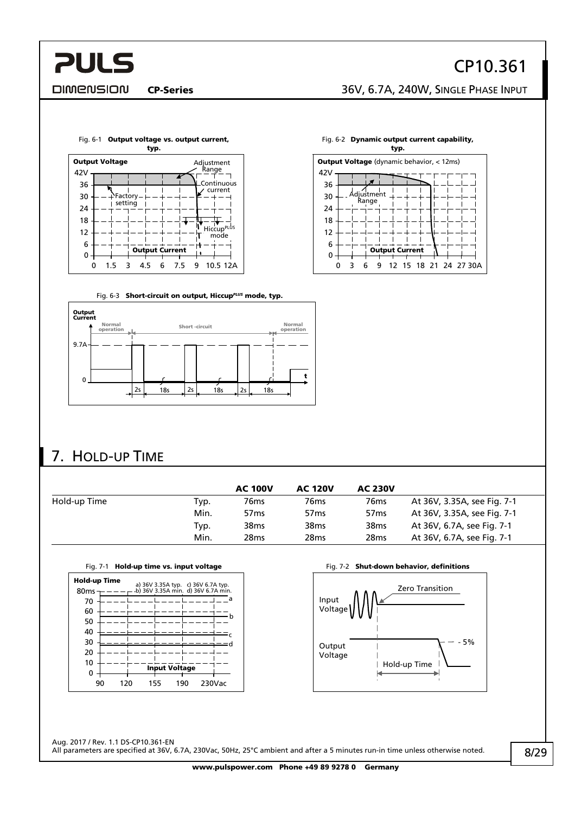### <span id="page-7-0"></span>**DIMENSION**

CP-Series 36V, 6.7A, 240W, SINGLE PHASE INPUT

<span id="page-7-1"></span>

Fig. 6-3 Short-circuit on output, Hiccup*PLUS* mode, typ.

<span id="page-7-2"></span>





## 7. HOLD-UP TIME

|              |      | <b>AC 100V</b>   | <b>AC 120V</b>   | <b>AC 230V</b>   |                             |
|--------------|------|------------------|------------------|------------------|-----------------------------|
| Hold-up Time | Typ. | 76 <sub>ms</sub> | 76ms             | 76 <sub>ms</sub> | At 36V, 3.35A, see Fig. 7-1 |
|              | Min. | 57 <sub>ms</sub> | 57 <sub>ms</sub> | 57 <sub>ms</sub> | At 36V, 3.35A, see Fig. 7-1 |
|              | Typ. | 38 <sub>ms</sub> | 38 <sub>ms</sub> | 38 <sub>ms</sub> | At 36V, 6.7A, see Fig. 7-1  |
|              | Min. | 28 <sub>ms</sub> | 28ms             | 28 <sub>ms</sub> | At 36V, 6.7A, see Fig. 7-1  |

<span id="page-7-3"></span>

|                                  | Fia. 7-1<br>Hold-up time vs. input voltage |     |                      |                                                                          |   |  |  |
|----------------------------------|--------------------------------------------|-----|----------------------|--------------------------------------------------------------------------|---|--|--|
| Hold-up Time<br>80 <sub>ms</sub> |                                            |     |                      | a) 36V 3.35A typ. c) 36V 6.7A typ.<br>b) 36V 3.35A min. d) 36V 6.7A min. |   |  |  |
| 70                               |                                            |     |                      |                                                                          | a |  |  |
| 60                               |                                            |     |                      |                                                                          |   |  |  |
| 50                               |                                            |     |                      |                                                                          | b |  |  |
| 40                               |                                            |     |                      |                                                                          |   |  |  |
| 30                               |                                            |     |                      |                                                                          |   |  |  |
| 20                               |                                            |     |                      |                                                                          |   |  |  |
| 10                               |                                            |     | <b>Input Voltage</b> |                                                                          |   |  |  |
| 90                               | 120                                        | 155 | 190                  | 230Vac                                                                   |   |  |  |

Fig. 7-2 Shut-down behavior, definitions

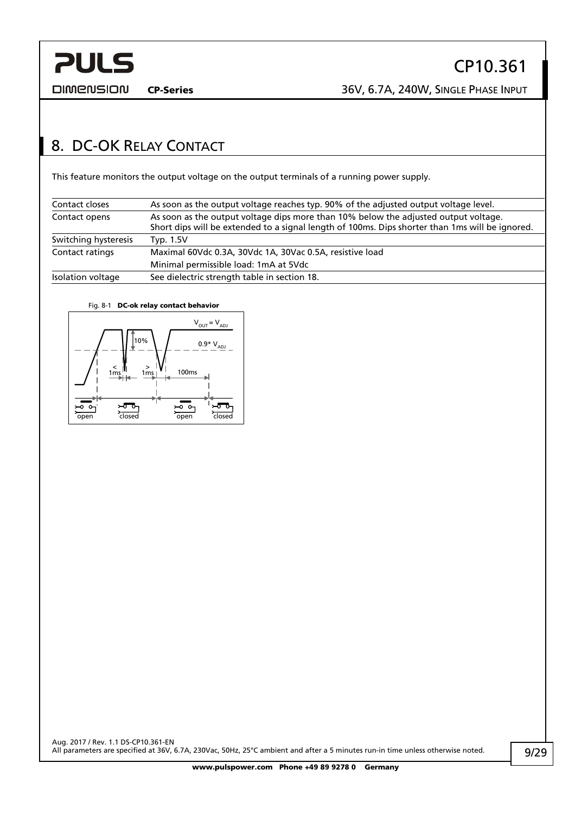<span id="page-8-0"></span>

CP-Series 36V, 6.7A, 240W, SINGLE PHASE INPUT

## <span id="page-8-1"></span>8. DC-OK RELAY CONTACT

This feature monitors the output voltage on the output terminals of a running power supply.

| Contact closes       | As soon as the output voltage reaches typ. 90% of the adjusted output voltage level.            |
|----------------------|-------------------------------------------------------------------------------------------------|
| Contact opens        | As soon as the output voltage dips more than 10% below the adjusted output voltage.             |
|                      | Short dips will be extended to a signal length of 100ms. Dips shorter than 1ms will be ignored. |
| Switching hysteresis | Typ. 1.5V                                                                                       |
| Contact ratings      | Maximal 60Vdc 0.3A, 30Vdc 1A, 30Vac 0.5A, resistive load                                        |
|                      | Minimal permissible load: 1mA at 5Vdc                                                           |
| Isolation voltage    | See dielectric strength table in section 18.                                                    |

#### Fig. 8-1 DC-ok relay contact behavior

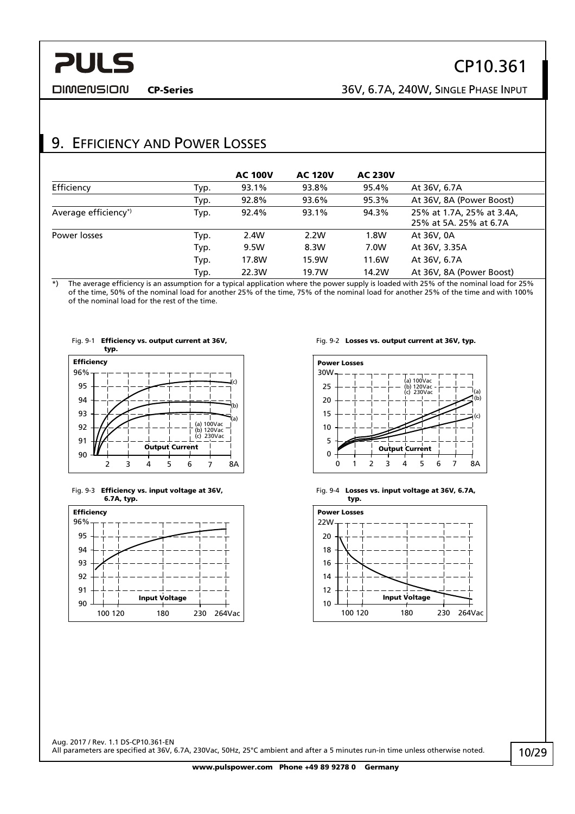<span id="page-9-0"></span>**DIMENSION** 

CP-Series 36V, 6.7A, 240W, SINGLE PHASE INPUT

## 9. EFFICIENCY AND POWER LOSSES

|                      |      | <b>AC 100V</b> | <b>AC 120V</b> | <b>AC 230V</b> |                                                     |
|----------------------|------|----------------|----------------|----------------|-----------------------------------------------------|
| Efficiency           | Typ. | 93.1%          | 93.8%          | 95.4%          | At 36V, 6.7A                                        |
|                      | Typ. | 92.8%          | 93.6%          | 95.3%          | At 36V, 8A (Power Boost)                            |
| Average efficiency*) | Typ. | 92.4%          | 93.1%          | 94.3%          | 25% at 1.7A, 25% at 3.4A,<br>25% at 5A, 25% at 6.7A |
| Power losses         | Typ. | 2.4W           | 2.2W           | 1.8W           | At 36V, 0A                                          |
|                      | Typ. | 9.5W           | 8.3W           | 7.0W           | At 36V, 3.35A                                       |
|                      | Typ. | 17.8W          | 15.9W          | 11.6W          | At 36V, 6.7A                                        |
|                      | Typ. | 22.3W          | 19.7W          | 14.2W          | At 36V, 8A (Power Boost)                            |

\*) The average efficiency is an assumption for a typical application where the power supply is loaded with 25% of the nominal load for 25% of the time, 50% of the nominal load for another 25% of the time, 75% of the nominal load for another 25% of the time and with 100% of the nominal load for the rest of the time.



Fig. 9-3 Efficiency vs. input voltage at 36V, 6.7A, typ.







Fig. 9-4 Losses vs. input voltage at 36V, 6.7A,



Aug. 2017 / Rev. 1.1 DS-CP10.361-EN All parameters are specified at 36V, 6.7A, 230Vac, 50Hz, 25°C ambient and after a 5 minutes run-in time unless otherwise noted.

www.pulspower.com Phone +49 89 9278 0 Germany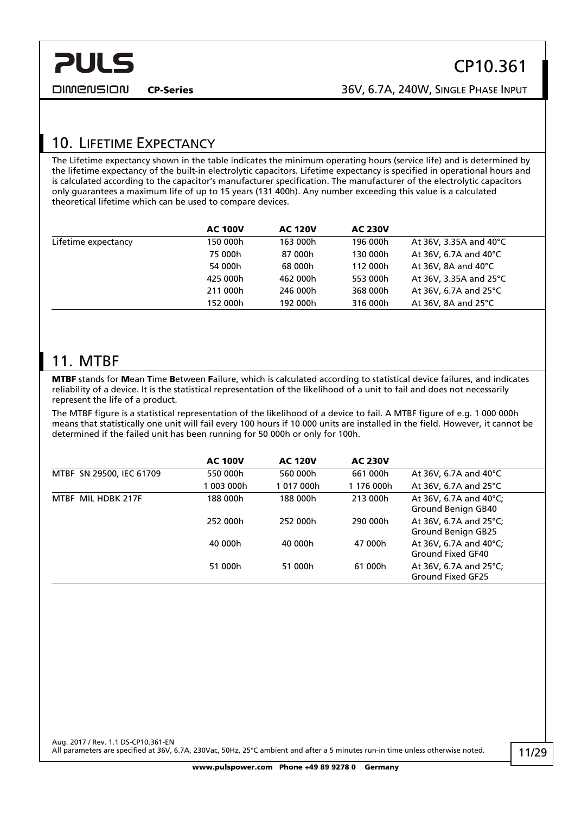## <span id="page-10-0"></span>10. LIFETIME EXPECTANCY

The Lifetime expectancy shown in the table indicates the minimum operating hours (service life) and is determined by the lifetime expectancy of the built-in electrolytic capacitors. Lifetime expectancy is specified in operational hours and is calculated according to the capacitor's manufacturer specification. The manufacturer of the electrolytic capacitors only guarantees a maximum life of up to 15 years (131 400h). Any number exceeding this value is a calculated theoretical lifetime which can be used to compare devices.

|                     | <b>AC 100V</b> | <b>AC 120V</b> | <b>AC 230V</b> |                                  |
|---------------------|----------------|----------------|----------------|----------------------------------|
| Lifetime expectancy | 150 000h       | 163 000h       | 196 000h       | At 36V, 3.35A and 40°C           |
|                     | 75 000h        | 87 000h        | 130 000h       | At 36V, 6.7A and 40 $^{\circ}$ C |
|                     | 54 000h        | 68 000h        | 112 000h       | At 36V, 8A and $40^{\circ}$ C    |
|                     | 425 000h       | 462 000h       | 553 000h       | At 36V, 3.35A and 25°C           |
|                     | 211 000h       | 246 000h       | 368 000h       | At 36V, 6.7A and 25 $\degree$ C  |
|                     | 152 000h       | 192 000h       | 316 000h       | At 36V, 8A and $25^{\circ}$ C    |
|                     |                |                |                |                                  |

## 11. MTBF

MTBF stands for Mean Time Between Failure, which is calculated according to statistical device failures, and indicates reliability of a device. It is the statistical representation of the likelihood of a unit to fail and does not necessarily represent the life of a product.

The MTBF figure is a statistical representation of the likelihood of a device to fail. A MTBF figure of e.g. 1 000 000h means that statistically one unit will fail every 100 hours if 10 000 units are installed in the field. However, it cannot be determined if the failed unit has been running for 50 000h or only for 100h.

|                          | <b>AC 100V</b> | <b>AC 120V</b> | <b>AC 230V</b> |                                                        |
|--------------------------|----------------|----------------|----------------|--------------------------------------------------------|
| MTBF SN 29500, IEC 61709 | 550 000h       | 560 000h       | 661 000h       | At 36V, 6.7A and 40 $\degree$ C                        |
|                          | 003 000h       | 1017000h       | 1 176 000h     | At 36V, 6.7A and 25 $\degree$ C                        |
| MTBF MIL HDBK 217F       | 188 000h       | 188 000h       | 213 000h       | At 36V, 6.7A and 40°C;<br>Ground Benign GB40           |
|                          | 252 000h       | 252 000h       | 290 000h       | At 36V, 6.7A and 25°C;<br>Ground Benign GB25           |
|                          | 40 000h        | 40 000h        | 47 000h        | At 36V, 6.7A and 40°C;<br>Ground Fixed GF40            |
|                          | 51 000h        | 51 000h        | 61 000h        | At 36V, 6.7A and 25 $^{\circ}$ C;<br>Ground Fixed GF25 |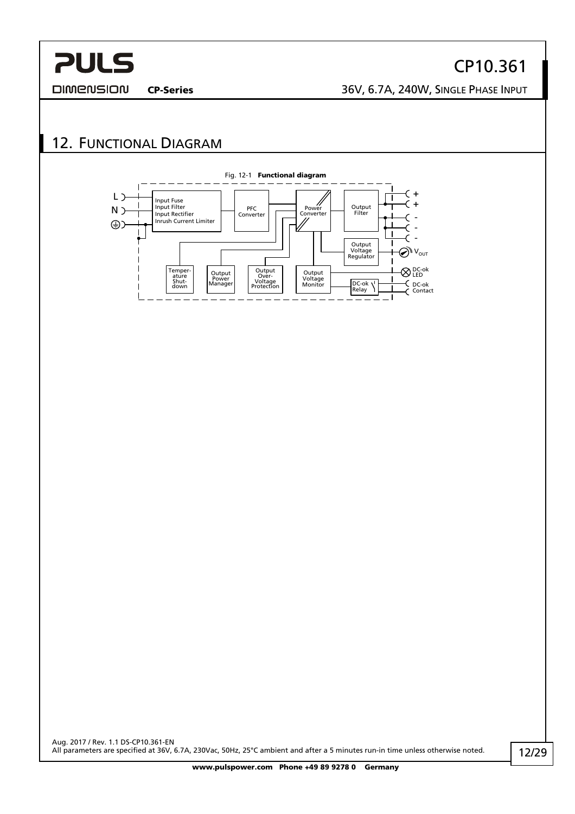### <span id="page-11-0"></span>**DIMENSION**

CP10.361

CP-Series 36V, 6.7A, 240W, SINGLE PHASE INPUT

## 12. FUNCTIONAL DIAGRAM

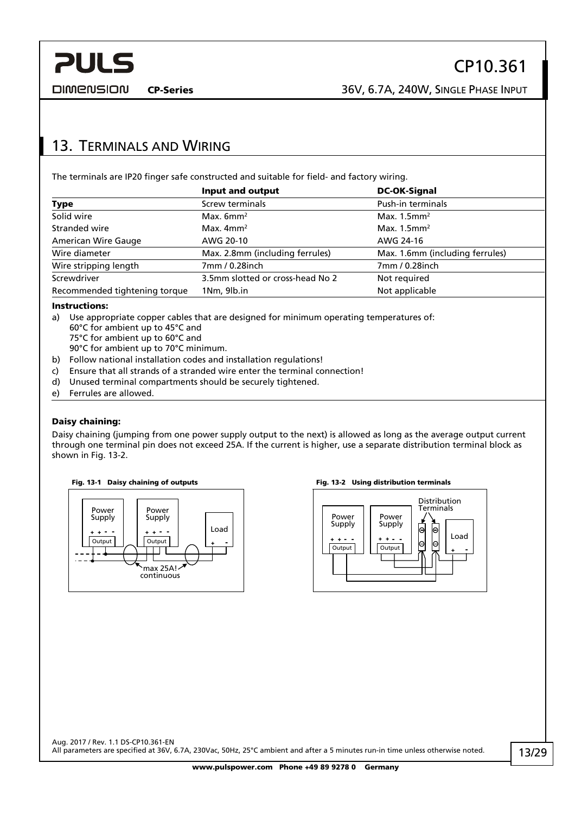CP-Series 36V, 6.7A, 240W, SINGLE PHASE INPUT

## <span id="page-12-0"></span>13. TERMINALS AND WIRING

The terminals are IP20 finger safe constructed and suitable for field- and factory wiring.

|                               | Input and output                 | <b>DC-OK-Signal</b>             |
|-------------------------------|----------------------------------|---------------------------------|
| <b>Type</b>                   | Screw terminals                  | <b>Push-in terminals</b>        |
| Solid wire                    | Max. $6mm2$                      | Max. $1.5$ mm <sup>2</sup>      |
| Stranded wire                 | Max. $4mm2$                      | Max. $1.5$ mm <sup>2</sup>      |
| American Wire Gauge           | AWG 20-10                        | AWG 24-16                       |
| Wire diameter                 | Max. 2.8mm (including ferrules)  | Max. 1.6mm (including ferrules) |
| Wire stripping length         | 7mm / 0.28inch                   | 7mm / 0.28inch                  |
| Screwdriver                   | 3.5mm slotted or cross-head No 2 | Not required                    |
| Recommended tightening torque | 1Nm, 9lb.in                      | Not applicable                  |

#### Instructions:

- a) Use appropriate copper cables that are designed for minimum operating temperatures of: 60°C for ambient up to 45°C and 75°C for ambient up to 60°C and
	- 90°C for ambient up to 70°C minimum.
- b) Follow national installation codes and installation regulations!
- c) Ensure that all strands of a stranded wire enter the terminal connection!
- d) Unused terminal compartments should be securely tightened.
- e) Ferrules are allowed.

#### Daisy chaining:

Daisy chaining (jumping from one power supply output to the next) is allowed as long as the average output current through one terminal pin does not exceed 25A. If the current is higher, use a separate distribution terminal block as shown in [Fig. 13-2.](#page-12-1)



<span id="page-12-1"></span>

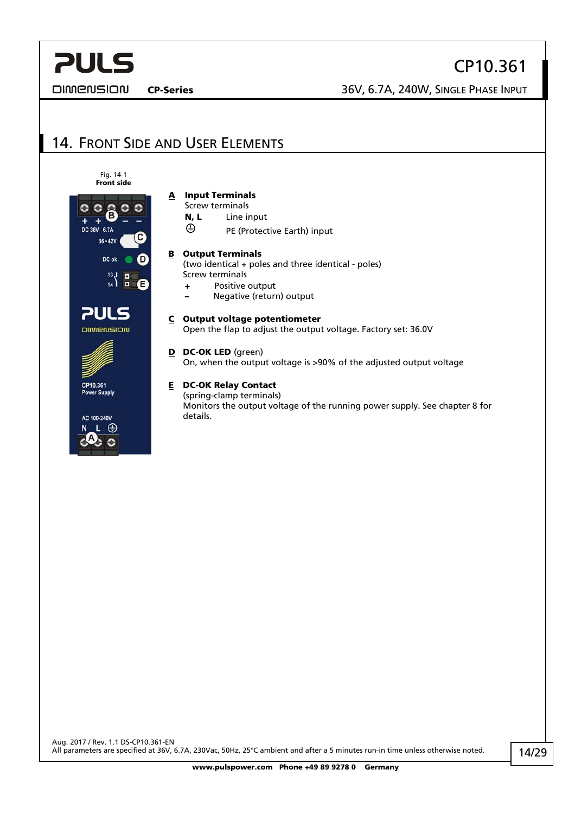<span id="page-13-0"></span>**DIMENSION** 

CP10.361

CP-Series 36V, 6.7A, 240W, SINGLE PHASE INPUT

## 14. FRONT SIDE AND USER ELEMENTS





C 100-240V ⊕



- Screw terminals
- N, L Line input
- ⊕ PE (Protective Earth) input

#### **B** Output Terminals

(two identical + poles and three identical - poles) Screw terminals

- + Positive output
- Negative (return) output

### C Output voltage potentiometer

Open the flap to adjust the output voltage. Factory set: 36.0V

### D DC-OK LED (green)

On, when the output voltage is >90% of the adjusted output voltage

### E DC-OK Relay Contact

(spring-clamp terminals) Monitors the output voltage of the running power supply. See chapter [8](#page-8-1) for details.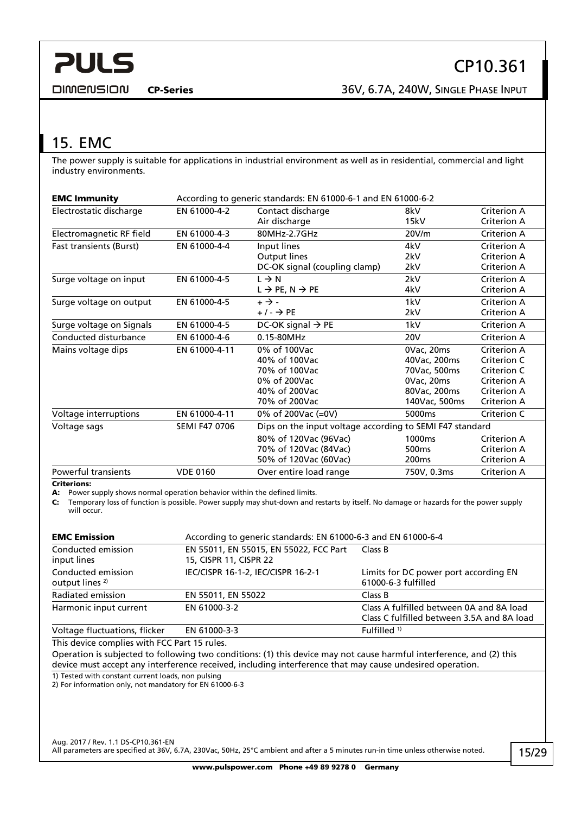<span id="page-14-0"></span>**DIMENSION** 

## <span id="page-14-1"></span>15. EMC

The power supply is suitable for applications in industrial environment as well as in residential, commercial and light industry environments.

| <b>EMC Immunity</b>      | According to generic standards: EN 61000-6-1 and EN 61000-6-2 |                                                          |                    |                    |  |
|--------------------------|---------------------------------------------------------------|----------------------------------------------------------|--------------------|--------------------|--|
| Electrostatic discharge  | EN 61000-4-2                                                  | Contact discharge                                        | 8kV                | <b>Criterion A</b> |  |
|                          |                                                               | Air discharge                                            | 15kV               | Criterion A        |  |
| Electromagnetic RF field | EN 61000-4-3                                                  | 80MHz-2.7GHz                                             | 20V/m              | Criterion A        |  |
| Fast transients (Burst)  | EN 61000-4-4                                                  | Input lines                                              | 4kV                | Criterion A        |  |
|                          |                                                               | Output lines                                             | 2kV                | Criterion A        |  |
|                          |                                                               | DC-OK signal (coupling clamp)                            | 2kV                | <b>Criterion A</b> |  |
| Surge voltage on input   | EN 61000-4-5                                                  | $L \rightarrow N$                                        | 2kV                | <b>Criterion A</b> |  |
|                          |                                                               | $L \rightarrow PE, N \rightarrow PE$                     | 4kV                | <b>Criterion A</b> |  |
| Surge voltage on output  | EN 61000-4-5                                                  | $+ \rightarrow -$                                        | 1kV                | Criterion A        |  |
|                          |                                                               | $+/ \rightarrow$ PE                                      | 2kV                | <b>Criterion A</b> |  |
| Surge voltage on Signals | EN 61000-4-5                                                  | DC-OK signal $\rightarrow$ PE                            | 1kV                | Criterion A        |  |
| Conducted disturbance    | EN 61000-4-6                                                  | 0.15-80MHz                                               | <b>20V</b>         | Criterion A        |  |
| Mains voltage dips       | EN 61000-4-11                                                 | 0% of 100Vac                                             | 0Vac, 20ms         | <b>Criterion A</b> |  |
|                          |                                                               | 40% of 100Vac                                            | 40Vac, 200ms       | Criterion C        |  |
|                          |                                                               | 70% of 100Vac                                            | 70Vac, 500ms       | Criterion C        |  |
|                          |                                                               | 0% of 200Vac                                             | 0Vac, 20ms         | Criterion A        |  |
|                          |                                                               | 40% of 200Vac                                            | 80Vac, 200ms       | <b>Criterion A</b> |  |
|                          |                                                               | 70% of 200Vac                                            | 140Vac, 500ms      | <b>Criterion A</b> |  |
| Voltage interruptions    | EN 61000-4-11                                                 | 0% of 200Vac (=0V)                                       | 5000 <sub>ms</sub> | Criterion C        |  |
| Voltage sags             | <b>SEMI F47 0706</b>                                          | Dips on the input voltage according to SEMI F47 standard |                    |                    |  |
|                          |                                                               | 80% of 120Vac (96Vac)                                    | 1000ms             | Criterion A        |  |
|                          |                                                               | 70% of 120Vac (84Vac)                                    | 500 <sub>ms</sub>  | Criterion A        |  |
|                          |                                                               | 50% of 120Vac (60Vac)                                    | 200 <sub>ms</sub>  | Criterion A        |  |
| Powerful transients      | <b>VDE 0160</b>                                               | Over entire load range                                   | 750V, 0.3ms        | <b>Criterion A</b> |  |

Criterions:

A: Power supply shows normal operation behavior within the defined limits.

C: Temporary loss of function is possible. Power supply may shut-down and restarts by itself. No damage or hazards for the power supply will occur.

| <b>EMC Emission</b><br>According to generic standards: EN 61000-6-3 and EN 61000-6-4 |                                                                  |                                                                                        |  |  |
|--------------------------------------------------------------------------------------|------------------------------------------------------------------|----------------------------------------------------------------------------------------|--|--|
| Conducted emission<br>input lines                                                    | EN 55011, EN 55015, EN 55022, FCC Part<br>15, CISPR 11, CISPR 22 | Class B                                                                                |  |  |
| Conducted emission<br>output lines <sup>2)</sup>                                     | IEC/CISPR 16-1-2, IEC/CISPR 16-2-1                               | Limits for DC power port according EN<br>61000-6-3 fulfilled                           |  |  |
| Radiated emission                                                                    | EN 55011, EN 55022                                               | Class B                                                                                |  |  |
| Harmonic input current                                                               | EN 61000-3-2                                                     | Class A fulfilled between 0A and 8A load<br>Class C fulfilled between 3.5A and 8A load |  |  |
| Voltage fluctuations, flicker                                                        | EN 61000-3-3                                                     | Fulfilled $1$ )                                                                        |  |  |

This device complies with FCC Part 15 rules.

Operation is subjected to following two conditions: (1) this device may not cause harmful interference, and (2) this device must accept any interference received, including interference that may cause undesired operation.

1) Tested with constant current loads, non pulsing

2) For information only, not mandatory for EN 61000-6-3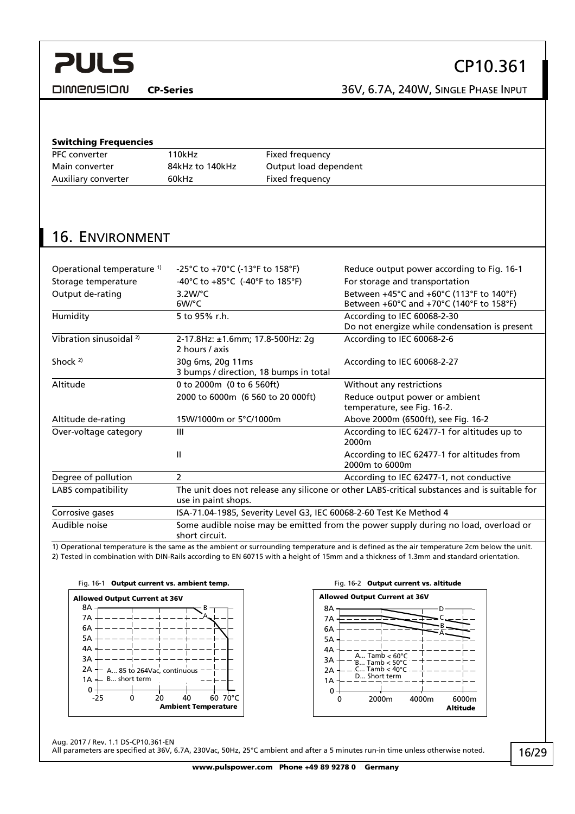<span id="page-15-0"></span>**DIMENSION** 

## CP10.361

CP-Series 36V, 6.7A, 240W, SINGLE PHASE INPUT

| PFC converter                         | 110kHz                                                                                                | <b>Fixed frequency</b>                 |                                                                                              |  |
|---------------------------------------|-------------------------------------------------------------------------------------------------------|----------------------------------------|----------------------------------------------------------------------------------------------|--|
| Main converter                        | 84kHz to 140kHz                                                                                       | Output load dependent                  |                                                                                              |  |
| Auxiliary converter                   | 60kHz                                                                                                 | Fixed frequency                        |                                                                                              |  |
|                                       |                                                                                                       |                                        |                                                                                              |  |
|                                       |                                                                                                       |                                        |                                                                                              |  |
|                                       |                                                                                                       |                                        |                                                                                              |  |
| <b>16. ENVIRONMENT</b>                |                                                                                                       |                                        |                                                                                              |  |
|                                       |                                                                                                       |                                        |                                                                                              |  |
| Operational temperature <sup>1)</sup> | -25°C to +70°C (-13°F to 158°F)                                                                       |                                        | Reduce output power according to Fig. 16-1                                                   |  |
| Storage temperature                   | -40°C to +85°C (-40°F to 185°F)                                                                       |                                        | For storage and transportation                                                               |  |
| Output de-rating                      | $3.2W$ <sup>o</sup> C<br>$6W$ <sup>o</sup> C                                                          |                                        | Between +45°C and +60°C (113°F to 140°F)<br>Between +60°C and +70°C (140°F to 158°F)         |  |
| Humidity                              | 5 to 95% r.h.                                                                                         |                                        | According to IEC 60068-2-30<br>Do not energize while condensation is present                 |  |
| Vibration sinusoidal <sup>2)</sup>    | 2-17.8Hz: ±1.6mm; 17.8-500Hz: 2g<br>2 hours / axis                                                    |                                        | According to IEC 60068-2-6                                                                   |  |
| Shock $2$                             | 30g 6ms, 20g 11ms                                                                                     | 3 bumps / direction, 18 bumps in total | According to IEC 60068-2-27                                                                  |  |
| Altitude                              | 0 to 2000m (0 to 6 560ft)                                                                             |                                        | Without any restrictions                                                                     |  |
|                                       | 2000 to 6000m (6 560 to 20 000ft)                                                                     |                                        | Reduce output power or ambient<br>temperature, see Fig. 16-2.                                |  |
| Altitude de-rating                    | 15W/1000m or 5°C/1000m                                                                                |                                        | Above 2000m (6500ft), see Fig. 16-2                                                          |  |
| Over-voltage category                 | Ш                                                                                                     |                                        | According to IEC 62477-1 for altitudes up to<br>2000m                                        |  |
|                                       | Ш                                                                                                     |                                        | According to IEC 62477-1 for altitudes from<br>2000m to 6000m                                |  |
| Degree of pollution                   | $\overline{2}$                                                                                        |                                        | According to IEC 62477-1, not conductive                                                     |  |
| <b>LABS</b> compatibility             | use in paint shops.                                                                                   |                                        | The unit does not release any silicone or other LABS-critical substances and is suitable for |  |
| Corrosive gases                       |                                                                                                       |                                        | ISA-71.04-1985, Severity Level G3, IEC 60068-2-60 Test Ke Method 4                           |  |
| Audible noise                         | Some audible noise may be emitted from the power supply during no load, overload or<br>short circuit. |                                        |                                                                                              |  |

<span id="page-15-1"></span>2) Tested in combination with DIN-Rails according to EN 60715 with a height of 15mm and a thickness of 1.3mm and standard orientation.





Aug. 2017 / Rev. 1.1 DS-CP10.361-EN

All parameters are specified at 36V, 6.7A, 230Vac, 50Hz, 25°C ambient and after a 5 minutes run-in time unless otherwise noted.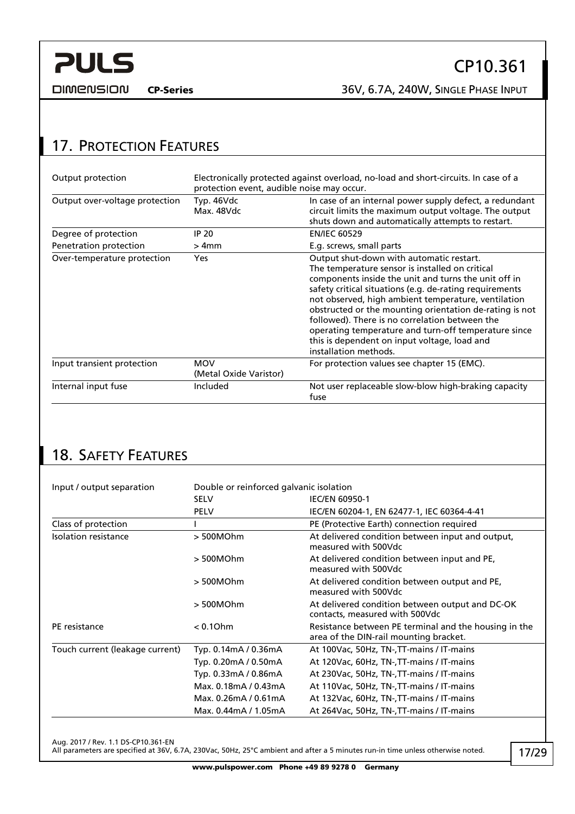CP-Series 36V, 6.7A, 240W, SINGLE PHASE INPUT

## <span id="page-16-0"></span>17. PROTECTION FEATURES

| Output protection              | Electronically protected against overload, no-load and short-circuits. In case of a<br>protection event, audible noise may occur. |                                                                                                                                                                                                                                                                                                                                                                                                                                                                                                                     |  |  |
|--------------------------------|-----------------------------------------------------------------------------------------------------------------------------------|---------------------------------------------------------------------------------------------------------------------------------------------------------------------------------------------------------------------------------------------------------------------------------------------------------------------------------------------------------------------------------------------------------------------------------------------------------------------------------------------------------------------|--|--|
| Output over-voltage protection | Typ. 46Vdc<br>Max. 48Vdc                                                                                                          | In case of an internal power supply defect, a redundant<br>circuit limits the maximum output voltage. The output<br>shuts down and automatically attempts to restart.                                                                                                                                                                                                                                                                                                                                               |  |  |
| Degree of protection           | IP 20                                                                                                                             | <b>EN/IEC 60529</b>                                                                                                                                                                                                                                                                                                                                                                                                                                                                                                 |  |  |
| Penetration protection         | $>4$ mm                                                                                                                           | E.g. screws, small parts                                                                                                                                                                                                                                                                                                                                                                                                                                                                                            |  |  |
| Over-temperature protection    | <b>Yes</b>                                                                                                                        | Output shut-down with automatic restart.<br>The temperature sensor is installed on critical<br>components inside the unit and turns the unit off in<br>safety critical situations (e.g. de-rating requirements<br>not observed, high ambient temperature, ventilation<br>obstructed or the mounting orientation de-rating is not<br>followed). There is no correlation between the<br>operating temperature and turn-off temperature since<br>this is dependent on input voltage, load and<br>installation methods. |  |  |
| Input transient protection     | <b>MOV</b><br>(Metal Oxide Varistor)                                                                                              | For protection values see chapter 15 (EMC).                                                                                                                                                                                                                                                                                                                                                                                                                                                                         |  |  |
| Internal input fuse            | Included                                                                                                                          | Not user replaceable slow-blow high-braking capacity<br>fuse                                                                                                                                                                                                                                                                                                                                                                                                                                                        |  |  |

## 18. SAFETY FEATURES

| Input / output separation       | Double or reinforced galvanic isolation |                                                                                                 |  |  |
|---------------------------------|-----------------------------------------|-------------------------------------------------------------------------------------------------|--|--|
|                                 | <b>SELV</b>                             | <b>IEC/EN 60950-1</b>                                                                           |  |  |
|                                 | <b>PELV</b>                             | IEC/EN 60204-1, EN 62477-1, IEC 60364-4-41                                                      |  |  |
| Class of protection             |                                         | PE (Protective Earth) connection required                                                       |  |  |
| Isolation resistance            | > 500MOhm                               | At delivered condition between input and output,<br>measured with 500Vdc                        |  |  |
|                                 | > 500MOhm                               | At delivered condition between input and PE,<br>measured with 500Vdc                            |  |  |
|                                 | > 500MOhm                               | At delivered condition between output and PE,<br>measured with 500Vdc                           |  |  |
|                                 | > 500MOhm                               | At delivered condition between output and DC-OK<br>contacts, measured with 500Vdc               |  |  |
| PE resistance                   | $< 0.1$ Ohm                             | Resistance between PE terminal and the housing in the<br>area of the DIN-rail mounting bracket. |  |  |
| Touch current (leakage current) | Typ. 0.14mA / 0.36mA                    | At 100Vac, 50Hz, TN-, TT-mains / IT-mains                                                       |  |  |
|                                 | Typ. 0.20mA / 0.50mA                    | At 120Vac, 60Hz, TN-, TT-mains / IT-mains                                                       |  |  |
|                                 | Typ. 0.33mA / 0.86mA                    | At 230Vac, 50Hz, TN-, TT-mains / IT-mains                                                       |  |  |
|                                 | Max. 0.18mA / 0.43mA                    | At 110Vac, 50Hz, TN-, TT-mains / IT-mains                                                       |  |  |
|                                 | Max. 0.26mA / 0.61mA                    | At 132Vac, 60Hz, TN-, TT-mains / IT-mains                                                       |  |  |
|                                 | Max. 0.44mA / 1.05mA                    | At 264Vac, 50Hz, TN-, TT-mains / IT-mains                                                       |  |  |

Aug. 2017 / Rev. 1.1 DS-CP10.361-EN

All parameters are specified at 36V, 6.7A, 230Vac, 50Hz, 25°C ambient and after a 5 minutes run-in time unless otherwise noted.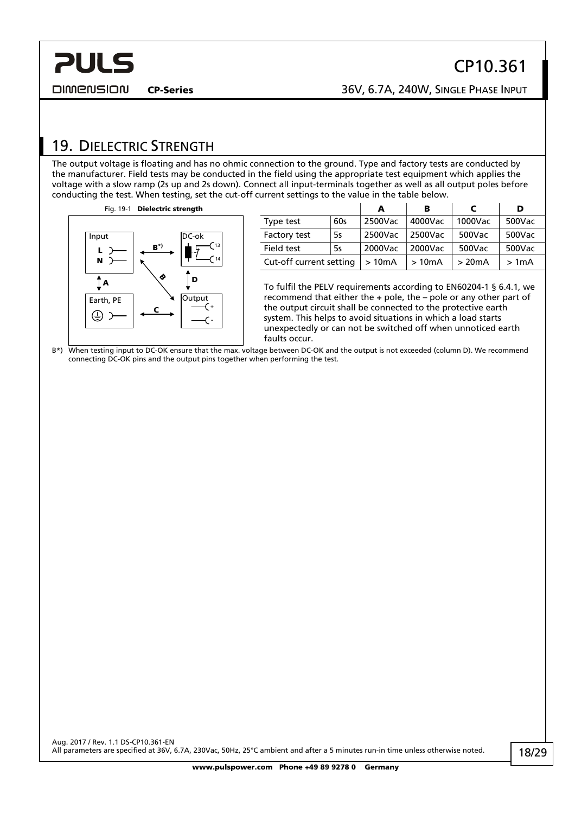<span id="page-17-0"></span>**PULS** 

## <span id="page-17-1"></span>19. DIELECTRIC STRENGTH

The output voltage is floating and has no ohmic connection to the ground. Type and factory tests are conducted by the manufacturer. Field tests may be conducted in the field using the appropriate test equipment which applies the voltage with a slow ramp (2s up and 2s down). Connect all input-terminals together as well as all output poles before conducting the test. When testing, set the cut-off current settings to the value in the table below.



|                         |     | A       | в       |         | D      |
|-------------------------|-----|---------|---------|---------|--------|
| Type test               | 60s | 2500Vac | 4000Vac | 1000Vac | 500Vac |
| Factory test            | 5s  | 2500Vac | 2500Vac | 500Vac  | 500Vac |
| Field test              | 5s  | 2000Vac | 2000Vac | 500Vac  | 500Vac |
| Cut-off current setting |     | >10mA   | >10mA   | >20mA   | >1mA   |

To fulfil the PELV requirements according to EN60204-1 § 6.4.1, we recommend that either the + pole, the – pole or any other part of the output circuit shall be connected to the protective earth system. This helps to avoid situations in which a load starts unexpectedly or can not be switched off when unnoticed earth faults occur.

B\*) When testing input to DC-OK ensure that the max. voltage between DC-OK and the output is not exceeded (column D). We recommend connecting DC-OK pins and the output pins together when performing the test.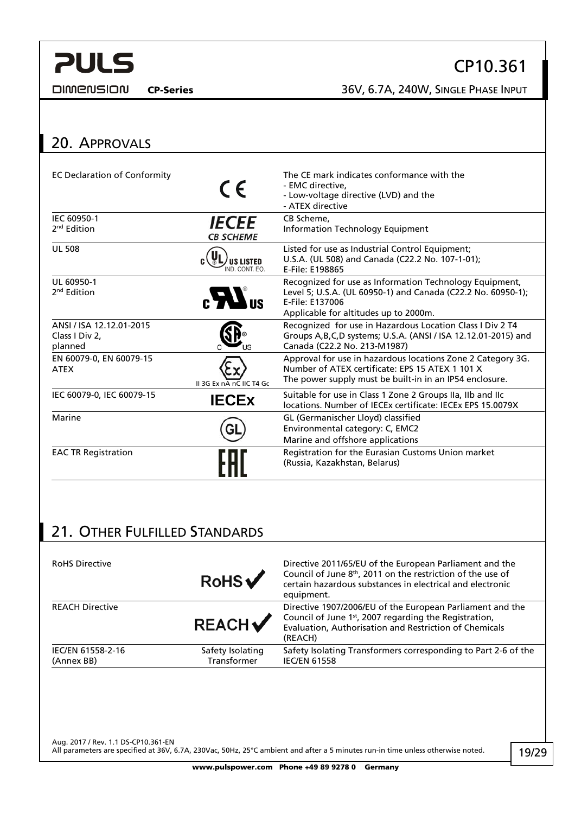<span id="page-18-1"></span>**DIMENSION** 

## CP10.361

CP-Series 36V, 6.7A, 240W, SINGLE PHASE INPUT

#### <span id="page-18-0"></span>20. APPROVALS EC Declaration of Conformity The CE mark indicates conformance with the  $\begin{array}{cc}\n\bullet & \bullet \\
\bullet & \bullet\n\end{array}$  The CE mark indicates conformance with the - EMC directive, - Low-voltage directive (LVD) and the - ATEX directive IEC 60950-1 CB Scheme, *IECEE* 2<sup>nd</sup> Edition Information Technology Equipment **CB SCHEME**  $\overline{U}$  508 Listed for use as Industrial Control Equipment; U.S.A. (UL 508) and Canada (C22.2 No. 107-1-01); *J* us listed ND. CONT. EQ. E-File: E198865 UL 60950-1 Recognized for use as Information Technology Equipment, 2nd Edition  $_{\rm c}H_{\rm us}$ Level 5; U.S.A. (UL 60950-1) and Canada (C22.2 No. 60950-1); E-File: E137006 Applicable for altitudes up to 2000m. ANSI / ISA 12.12.01-2015 Recognized for use in Hazardous Location Class I Div 2 T4 Class I Div 2, Groups A,B,C,D systems; U.S.A. (ANSI / ISA 12.12.01-2015) and planned Canada (C22.2 No. 213-M1987) EN 60079-0, EN 60079-15 Approval for use in hazardous locations Zone 2 Category 3G.  $\overbrace{\text{ATEX}}$ <br>ATEX  $\overbrace{\text{H 3G Ex pA nC IIC T4 Gc}}$ Number of ATEX certificate: EPS 15 ATEX 1 101 X The power supply must be built-in in an IP54 enclosure. IEC 60079-0, IEC 60079-15 **IECEX** Suitable for use in Class 1 Zone 2 Groups IIa, IIb and IIc<br>Incations. Number of IECEx certificate: IECEx EPS 15.0079X Marine GL (Germanischer Lloyd) classified Gl Environmental category: C, EMC2 Marine and offshore applications EAC TR Registration **Registration Registration** for the Eurasian Customs Union market (Russia, Kazakhstan, Belarus)

## 21. OTHER FULFILLED STANDARDS

| <b>RoHS Directive</b>           | RobS                            | Directive 2011/65/EU of the European Parliament and the<br>Council of June 8 <sup>th</sup> , 2011 on the restriction of the use of<br>certain hazardous substances in electrical and electronic<br>equipment. |
|---------------------------------|---------------------------------|---------------------------------------------------------------------------------------------------------------------------------------------------------------------------------------------------------------|
| <b>REACH Directive</b>          | <b>REACH</b>                    | Directive 1907/2006/EU of the European Parliament and the<br>Council of June 1st, 2007 regarding the Registration,<br>Evaluation, Authorisation and Restriction of Chemicals<br>(REACH)                       |
| IEC/EN 61558-2-16<br>(Annex BB) | Safety Isolating<br>Transformer | Safety Isolating Transformers corresponding to Part 2-6 of the<br><b>IEC/EN 61558</b>                                                                                                                         |
|                                 |                                 |                                                                                                                                                                                                               |

Aug. 2017 / Rev. 1.1 DS-CP10.361-EN All parameters are specified at 36V, 6.7A, 230Vac, 50Hz, 25°C ambient and after a 5 minutes run-in time unless otherwise noted.

www.pulspower.com Phone +49 89 9278 0 Germany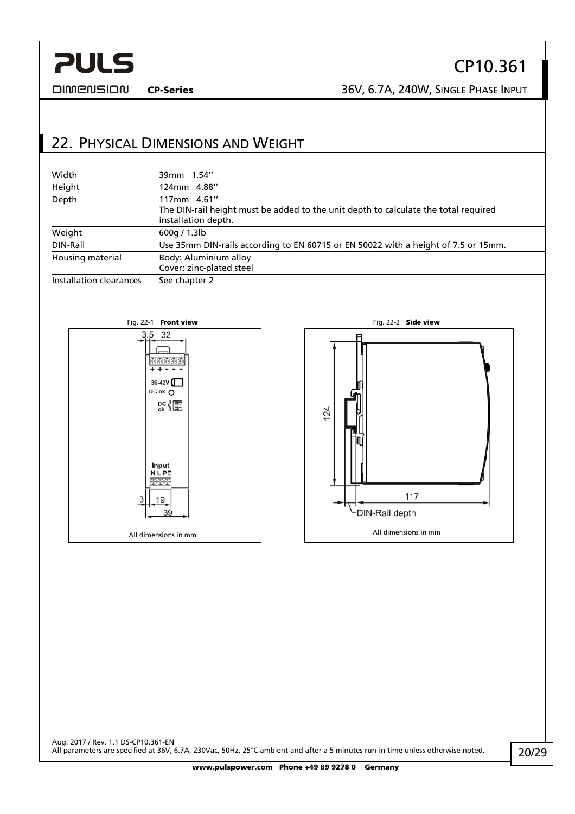<span id="page-19-0"></span>**DIMENSION** 

## CP10.361

CP-Series 36V, 6.7A, 240W, SINGLE PHASE INPUT

## 22. PHYSICAL DIMENSIONS AND WEIGHT

| Width                   | 39mm 1.54"                                                                                                                |
|-------------------------|---------------------------------------------------------------------------------------------------------------------------|
| Height                  | 124mm 4.88"                                                                                                               |
| Depth                   | 117mm 4.61"<br>The DIN-rail height must be added to the unit depth to calculate the total required<br>installation depth. |
| Weight                  | 600q / 1.3lb                                                                                                              |
| DIN-Rail                | Use 35mm DIN-rails according to EN 60715 or EN 50022 with a height of 7.5 or 15mm.                                        |
| Housing material        | Body: Aluminium alloy<br>Cover: zinc-plated steel                                                                         |
| Installation clearances | See chapter 2                                                                                                             |



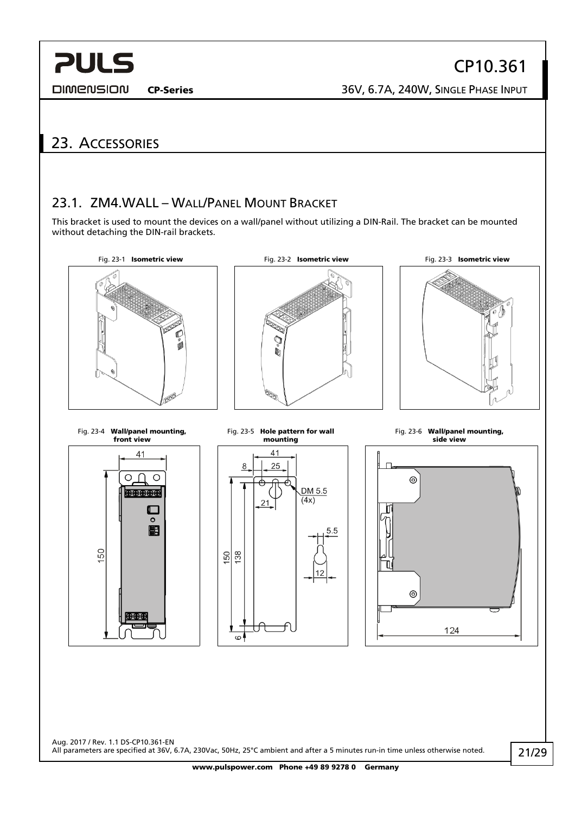<span id="page-20-0"></span>**DIMENSION** 

## 23. ACCESSORIES

## 23.1. ZM4.WALL – WALL/PANEL MOUNT BRACKET

This bracket is used to mount the devices on a wall/panel without utilizing a DIN-Rail. The bracket can be mounted without detaching the DIN-rail brackets.



Aug. 2017 / Rev. 1.1 DS-CP10.361-EN All parameters are specified at 36V, 6.7A, 230Vac, 50Hz, 25°C ambient and after a 5 minutes run-in time unless otherwise noted.

www.pulspower.com Phone +49 89 9278 0 Germany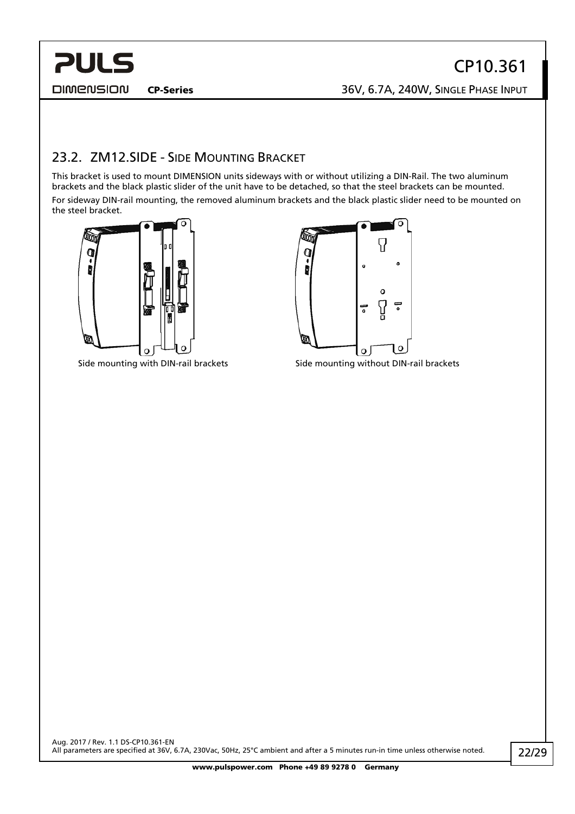## <span id="page-21-0"></span>**PULS DIMENSION**

## CP10.361 CP-Series 36V, 6.7A, 240W, SINGLE PHASE INPUT

23.2. ZM12.SIDE - SIDE MOUNTING BRACKET

This bracket is used to mount DIMENSION units sideways with or without utilizing a DIN-Rail. The two aluminum brackets and the black plastic slider of the unit have to be detached, so that the steel brackets can be mounted. For sideway DIN-rail mounting, the removed aluminum brackets and the black plastic slider need to be mounted on the steel bracket.





Side mounting with DIN-rail brackets Side mounting without DIN-rail brackets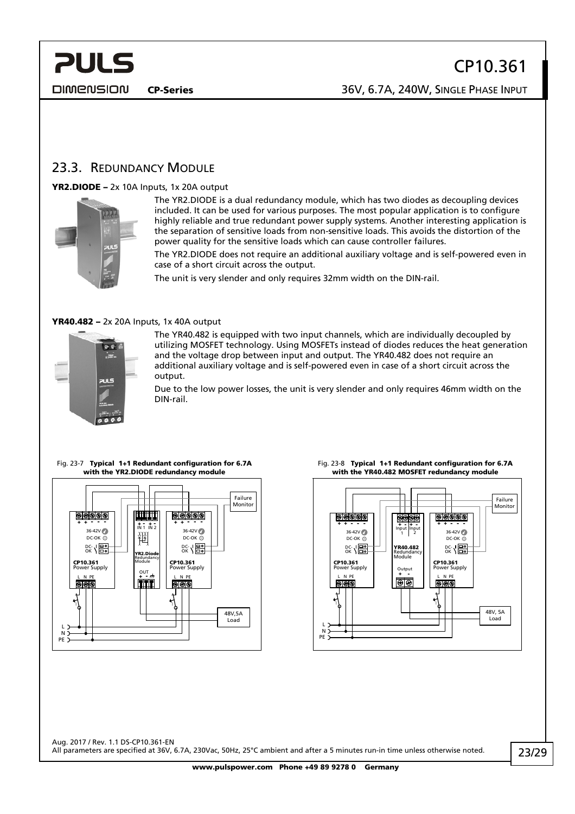<span id="page-22-0"></span>**DIMENSION** 

CP-Series 36V, 6.7A, 240W, SINGLE PHASE INPUT

### <span id="page-22-1"></span>23.3. REDUNDANCY MODULE

### YR2.DIODE – 2x 10A Inputs, 1x 20A output



The YR2.DIODE is a dual redundancy module, which has two diodes as decoupling devices included. It can be used for various purposes. The most popular application is to configure highly reliable and true redundant power supply systems. Another interesting application is the separation of sensitive loads from non-sensitive loads. This avoids the distortion of the power quality for the sensitive loads which can cause controller failures.

The YR2.DIODE does not require an additional auxiliary voltage and is self-powered even in case of a short circuit across the output.

The unit is very slender and only requires 32mm width on the DIN-rail.

#### YR40.482 – 2x 20A Inputs, 1x 40A output



The YR40.482 is equipped with two input channels, which are individually decoupled by utilizing MOSFET technology. Using MOSFETs instead of diodes reduces the heat generation and the voltage drop between input and output. The YR40.482 does not require an additional auxiliary voltage and is self-powered even in case of a short circuit across the output.

Due to the low power losses, the unit is very slender and only requires 46mm width on the DIN-rail.

## Fig. 23-7 Typical 1+1 Redundant configuration for 6.7A with the YR2.DIODE redundancy module



#### Fig. 23-8 Typical 1+1 Redundant configuration for 6.7A with the YR40.482 MOSFET redundancy module

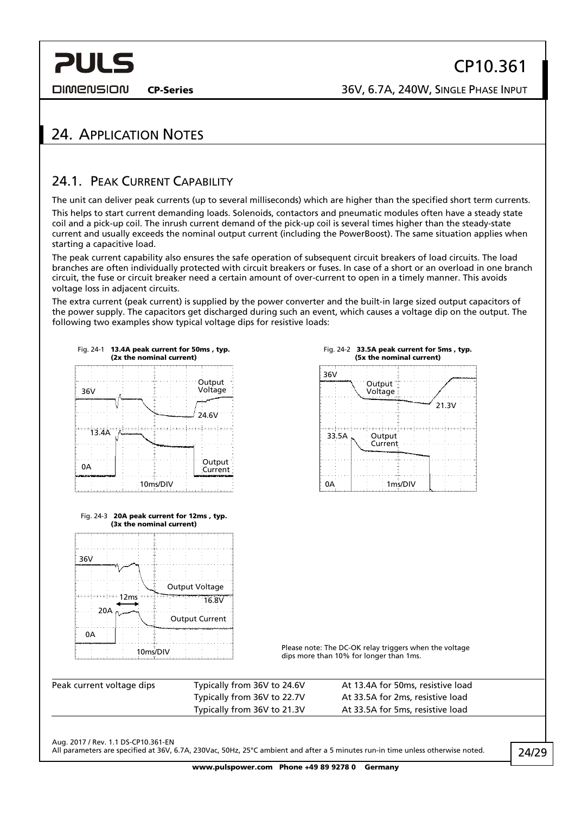<span id="page-23-0"></span>**DIMENSION** 

## 24. APPLICATION NOTES

## <span id="page-23-1"></span>24.1. PEAK CURRENT CAPABILITY

The unit can deliver peak currents (up to several milliseconds) which are higher than the specified short term currents. This helps to start current demanding loads. Solenoids, contactors and pneumatic modules often have a steady state coil and a pick-up coil. The inrush current demand of the pick-up coil is several times higher than the steady-state current and usually exceeds the nominal output current (including the PowerBoost). The same situation applies when starting a capacitive load.

The peak current capability also ensures the safe operation of subsequent circuit breakers of load circuits. The load branches are often individually protected with circuit breakers or fuses. In case of a short or an overload in one branch circuit, the fuse or circuit breaker need a certain amount of over-current to open in a timely manner. This avoids voltage loss in adjacent circuits.

The extra current (peak current) is supplied by the power converter and the built-in large sized output capacitors of the power supply. The capacitors get discharged during such an event, which causes a voltage dip on the output. The following two examples show typical voltage dips for resistive loads:



Fig. 24-3 20A peak current for 12ms , typ. (3x the nominal current)

Output Voltage

Output Current

 $12ms + 16.8V$ 





Please note: The DC-OK relay triggers when the voltage dips more: The DC-OK relay triggers when the DC-OK relay triggers when the DC-OK relay triggers when the Music

| Peak current voltage dips | Typically from 36V to 24.6V | At 13.4A for 50ms, resistive load |  |
|---------------------------|-----------------------------|-----------------------------------|--|
|                           | Typically from 36V to 22.7V | At 33.5A for 2ms, resistive load  |  |
|                           | Typically from 36V to 21.3V | At 33.5A for 5ms, resistive load  |  |

Aug. 2017 / Rev. 1.1 DS-CP10.361-EN

36V

0A

20A

All parameters are specified at 36V, 6.7A, 230Vac, 50Hz, 25°C ambient and after a 5 minutes run-in time unless otherwise noted.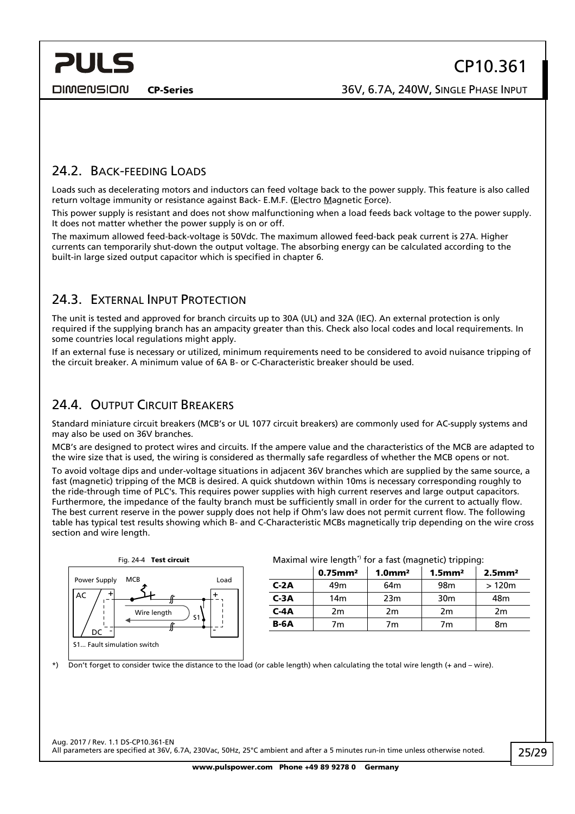<span id="page-24-0"></span>**DIMENSION** 

CP-Series 36V, 6.7A, 240W, SINGLE PHASE INPUT

### 24.2. BACK-FEEDING LOADS

Loads such as decelerating motors and inductors can feed voltage back to the power supply. This feature is also called return voltage immunity or resistance against Back- E.M.F. (Electro Magnetic Force).

This power supply is resistant and does not show malfunctioning when a load feeds back voltage to the power supply. It does not matter whether the power supply is on or off.

The maximum allowed feed-back-voltage is 50Vdc. The maximum allowed feed-back peak current is 27A. Higher currents can temporarily shut-down the output voltage. The absorbing energy can be calculated according to the built-in large sized output capacitor which is specified in chapter [6](#page-6-1).

### <span id="page-24-1"></span>24.3. EXTERNAL INPUT PROTECTION

The unit is tested and approved for branch circuits up to 30A (UL) and 32A (IEC). An external protection is only required if the supplying branch has an ampacity greater than this. Check also local codes and local requirements. In some countries local regulations might apply.

If an external fuse is necessary or utilized, minimum requirements need to be considered to avoid nuisance tripping of the circuit breaker. A minimum value of 6A B- or C-Characteristic breaker should be used.

### 24.4. OUTPUT CIRCUIT BREAKERS

Standard miniature circuit breakers (MCB's or UL 1077 circuit breakers) are commonly used for AC-supply systems and may also be used on 36V branches.

MCB's are designed to protect wires and circuits. If the ampere value and the characteristics of the MCB are adapted to the wire size that is used, the wiring is considered as thermally safe regardless of whether the MCB opens or not.

To avoid voltage dips and under-voltage situations in adjacent 36V branches which are supplied by the same source, a fast (magnetic) tripping of the MCB is desired. A quick shutdown within 10ms is necessary corresponding roughly to the ride-through time of PLC's. This requires power supplies with high current reserves and large output capacitors. Furthermore, the impedance of the faulty branch must be sufficiently small in order for the current to actually flow. The best current reserve in the power supply does not help if Ohm's law does not permit current flow. The following table has typical test results showing which B- and C-Characteristic MCBs magnetically trip depending on the wire cross section and wire length.



### Fig. 24-4 Test circuit **Maximal wire length<sup>\*</sup>** for a fast (magnetic) tripping:

|        | $0.75$ mm <sup>2</sup> | $1.0$ mm <sup>2</sup> | $1.5$ mm <sup>2</sup> | $2.5$ mm <sup>2</sup> |  |
|--------|------------------------|-----------------------|-----------------------|-----------------------|--|
| $C-2A$ | 49m                    | 64m                   | 98 <sub>m</sub>       | >120m                 |  |
| $C-3A$ | 14m                    | 23m                   | 30 <sub>m</sub>       | 48m                   |  |
| $C-4A$ | 2m                     | 2m                    | 2 <sub>m</sub>        | 2m                    |  |
| $B-6A$ | 7m                     | 7m                    | 7m                    | 8m                    |  |

\*) Don't forget to consider twice the distance to the load (or cable length) when calculating the total wire length (+ and – wire).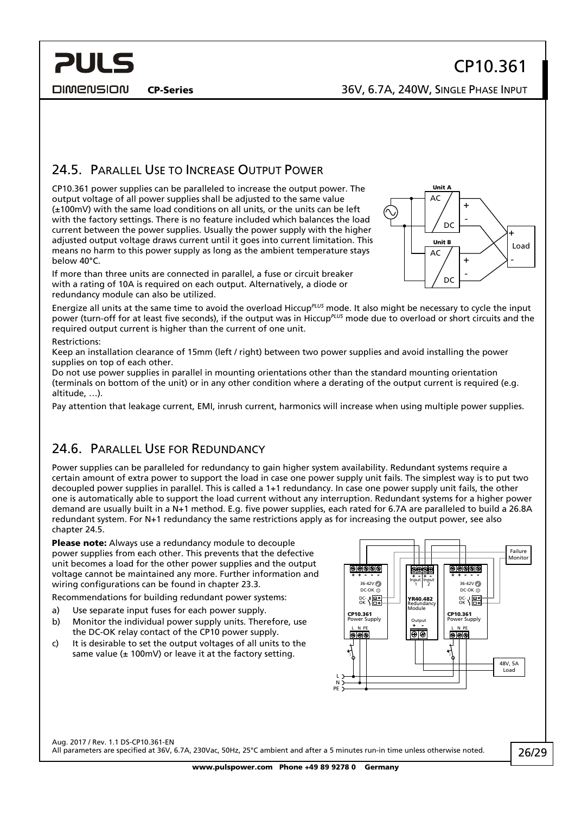<span id="page-25-0"></span>**PULS** 

# CP10.361

CP-Series 36V, 6.7A, 240W, SINGLE PHASE INPUT

## <span id="page-25-1"></span>24.5. PARALLEL USE TO INCREASE OUTPUT POWER

CP10.361 power supplies can be paralleled to increase the output power. The output voltage of all power supplies shall be adjusted to the same value (±100mV) with the same load conditions on all units, or the units can be left with the factory settings. There is no feature included which balances the load current between the power supplies. Usually the power supply with the higher adjusted output voltage draws current until it goes into current limitation. This means no harm to this power supply as long as the ambient temperature stays below 40°C.

If more than three units are connected in parallel, a fuse or circuit breaker with a rating of 10A is required on each output. Alternatively, a diode or redundancy module can also be utilized.

Energize all units at the same time to avoid the overload Hiccup*PLUS* mode. It also might be necessary to cycle the input power (turn-off for at least five seconds), if the output was in Hiccup*PLUS* mode due to overload or short circuits and the required output current is higher than the current of one unit.

#### Restrictions:

Keep an installation clearance of 15mm (left / right) between two power supplies and avoid installing the power supplies on top of each other.

Do not use power supplies in parallel in mounting orientations other than the standard mounting orientation (terminals on bottom of the unit) or in any other condition where a derating of the output current is required (e.g. altitude, …).

Pay attention that leakage current, EMI, inrush current, harmonics will increase when using multiple power supplies.

### 24.6. PARALLEL USE FOR REDUNDANCY

Power supplies can be paralleled for redundancy to gain higher system availability. Redundant systems require a certain amount of extra power to support the load in case one power supply unit fails. The simplest way is to put two decoupled power supplies in parallel. This is called a 1+1 redundancy. In case one power supply unit fails, the other one is automatically able to support the load current without any interruption. Redundant systems for a higher power demand are usually built in a N+1 method. E.g. five power supplies, each rated for 6.7A are paralleled to build a 26.8A redundant system. For N+1 redundancy the same restrictions apply as for increasing the output power, see also chapter [24.5.](#page-25-1)

Please note: Always use a redundancy module to decouple power supplies from each other. This prevents that the defective unit becomes a load for the other power supplies and the output voltage cannot be maintained any more. Further information and wiring configurations can be found in chapter [23.3](#page-22-1).

Recommendations for building redundant power systems:

- a) Use separate input fuses for each power supply.
- b) Monitor the individual power supply units. Therefore, use the DC-OK relay contact of the CP10 power supply.
- c) It is desirable to set the output voltages of all units to the same value ( $\pm$  100mV) or leave it at the factory setting.



Aug. 2017 / Rev. 1.1 DS-CP10.361-EN All parameters are specified at 36V, 6.7A, 230Vac, 50Hz, 25°C ambient and after a 5 minutes run-in time unless otherwise noted.

Unit / AC DC Unit B  $AC$ DC - + - + Load + -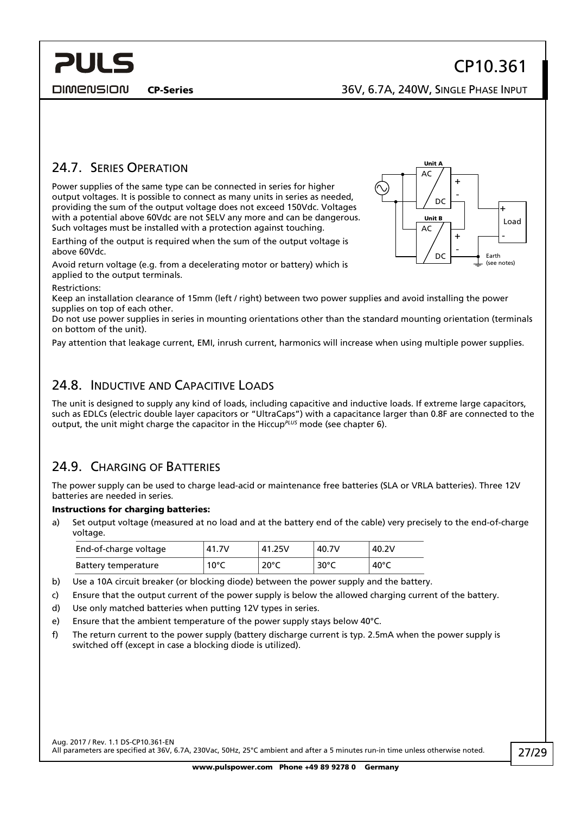<span id="page-26-0"></span>**PULS** 

# CP10.361

CP-Series 36V, 6.7A, 240W, SINGLE PHASE INPUT

## 24.7. SERIES OPERATION

Power supplies of the same type can be connected in series for higher output voltages. It is possible to connect as many units in series as needed, providing the sum of the output voltage does not exceed 150Vdc. Voltages with a potential above 60Vdc are not SELV any more and can be dangerous. Such voltages must be installed with a protection against touching.

Earthing of the output is required when the sum of the output voltage is above 60Vdc.

Avoid return voltage (e.g. from a decelerating motor or battery) which is applied to the output terminals.

Restrictions:

Keep an installation clearance of 15mm (left / right) between two power supplies and avoid installing the power supplies on top of each other.

Do not use power supplies in series in mounting orientations other than the standard mounting orientation (terminals on bottom of the unit).

Pay attention that leakage current, EMI, inrush current, harmonics will increase when using multiple power supplies.

### 24.8. INDUCTIVE AND CAPACITIVE LOADS

The unit is designed to supply any kind of loads, including capacitive and inductive loads. If extreme large capacitors, such as EDLCs (electric double layer capacitors or "UltraCaps") with a capacitance larger than 0.8F are connected to the output, the unit might charge the capacitor in the Hiccup*PLUS* mode (see chapter [6\)](#page-6-1).

### 24.9. CHARGING OF BATTERIES

The power supply can be used to charge lead-acid or maintenance free batteries (SLA or VRLA batteries). Three 12V batteries are needed in series.

#### Instructions for charging batteries:

a) Set output voltage (measured at no load and at the battery end of the cable) very precisely to the end-of-charge voltage.

| End-of-charge voltage | 41.7V          | 41.25V         | 40.7V          | 40.2V |
|-----------------------|----------------|----------------|----------------|-------|
| Battery temperature   | $10^{\circ}$ C | $20^{\circ}$ C | $30^{\circ}$ C | 40°C  |

- b) Use a 10A circuit breaker (or blocking diode) between the power supply and the battery.
- c) Ensure that the output current of the power supply is below the allowed charging current of the battery.
- d) Use only matched batteries when putting 12V types in series.
- e) Ensure that the ambient temperature of the power supply stays below 40°C.
- f) The return current to the power supply (battery discharge current is typ. 2.5mA when the power supply is switched off (except in case a blocking diode is utilized).

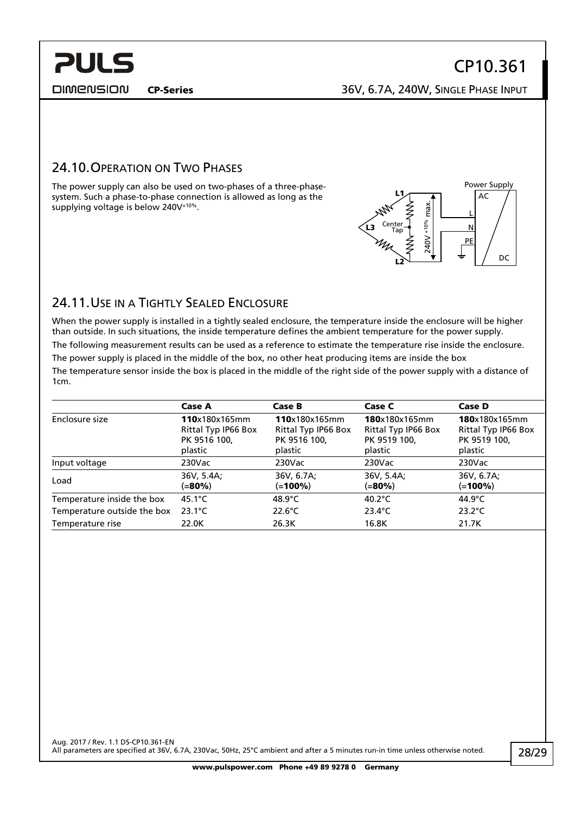<span id="page-27-0"></span>**DIMENSION** 

L N PE

Power Supply AC

**DC** 

CP-Series 36V, 6.7A, 240W, SINGLE PHASE INPUT

240V +10% max.

240V +10%

max

L2

L3

L1

Center Tap

### 24.10.OPERATION ON TWO PHASES

The power supply can also be used on two-phases of a three-phasesystem. Such a phase-to-phase connection is allowed as long as the supplying voltage is below 240V+10%.

## 24.11.USE IN A TIGHTLY SEALED ENCLOSURE

When the power supply is installed in a tightly sealed enclosure, the temperature inside the enclosure will be higher than outside. In such situations, the inside temperature defines the ambient temperature for the power supply. The following measurement results can be used as a reference to estimate the temperature rise inside the enclosure.

The power supply is placed in the middle of the box, no other heat producing items are inside the box

The temperature sensor inside the box is placed in the middle of the right side of the power supply with a distance of 1cm.

|                             | <b>Case A</b>                                                   | Case B                                                          | Case C                                                          | Case D                                                          |
|-----------------------------|-----------------------------------------------------------------|-----------------------------------------------------------------|-----------------------------------------------------------------|-----------------------------------------------------------------|
| Enclosure size              | 110x180x165mm<br>Rittal Typ IP66 Box<br>PK 9516 100,<br>plastic | 110x180x165mm<br>Rittal Typ IP66 Box<br>PK 9516 100,<br>plastic | 180x180x165mm<br>Rittal Typ IP66 Box<br>PK 9519 100,<br>plastic | 180x180x165mm<br>Rittal Typ IP66 Box<br>PK 9519 100,<br>plastic |
| Input voltage               | $230$ Vac                                                       | 230Vac                                                          | $230$ Vac                                                       | $230$ Vac                                                       |
| Load                        | 36V, 5.4A;<br>(=80%)                                            | 36V, 6.7A;<br>$(=100\%)$                                        | 36V, 5.4A;<br>(=80%)                                            | 36V, 6.7A;<br>(=100%)                                           |
| Temperature inside the box  | $45.1^{\circ}$ C                                                | 48.9 $\degree$ C                                                | 40.2 $\degree$ C                                                | 44.9 $^{\circ}$ C                                               |
| Temperature outside the box | $23.1^{\circ}$ C                                                | $22.6^{\circ}$ C                                                | $23.4^{\circ}$ C                                                | $23.2^{\circ}$ C                                                |
| Temperature rise            | 22.0K                                                           | 26.3K                                                           | 16.8K                                                           | 21.7K                                                           |